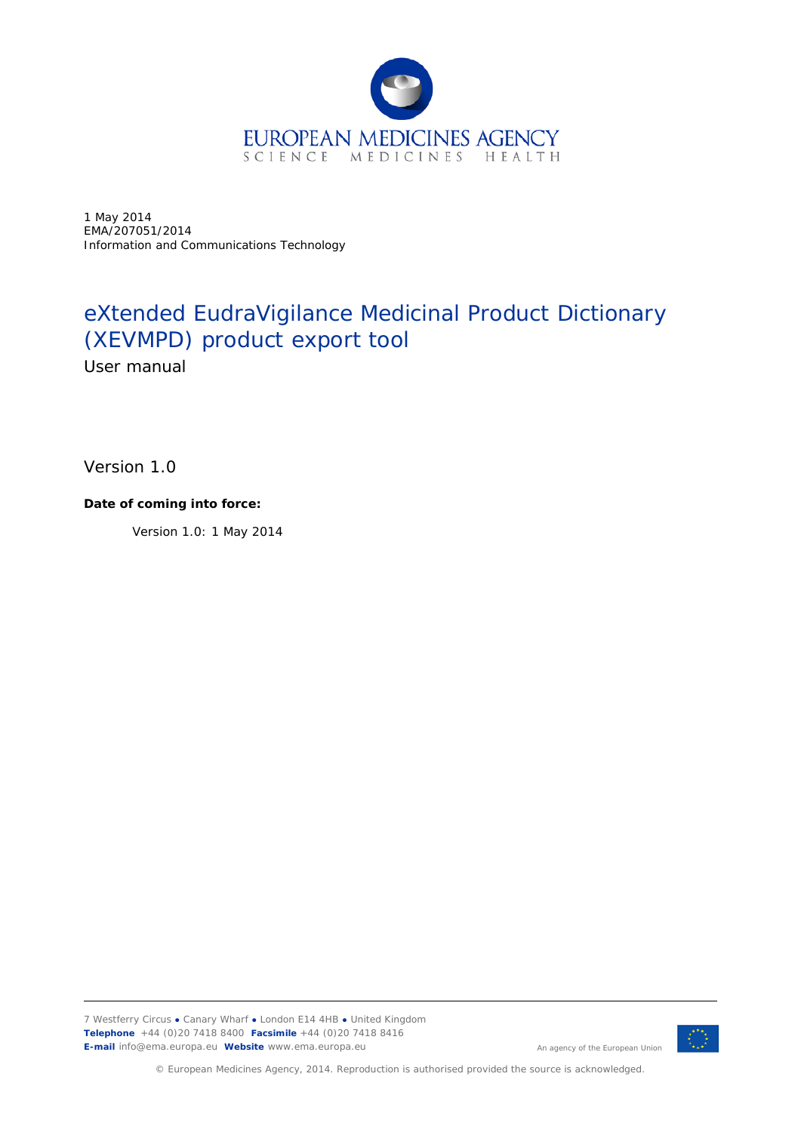

1 May 2014 EMA/207051/2014 Information and Communications Technology

# eXtended EudraVigilance Medicinal Product Dictionary (XEVMPD) product export tool

User manual

Version 1.0

#### **Date of coming into force:**

Version 1.0: 1 May 2014

7 Westferry Circus **●** Canary Wharf **●** London E14 4HB **●** United Kingdom **Telephone** +44 (0)20 7418 8400 **Facsimile** +44 (0)20 7418 8416 **E-mail** info@ema.europa.eu **Website** www.ema.europa.eu



© European Medicines Agency, 2014. Reproduction is authorised provided the source is acknowledged.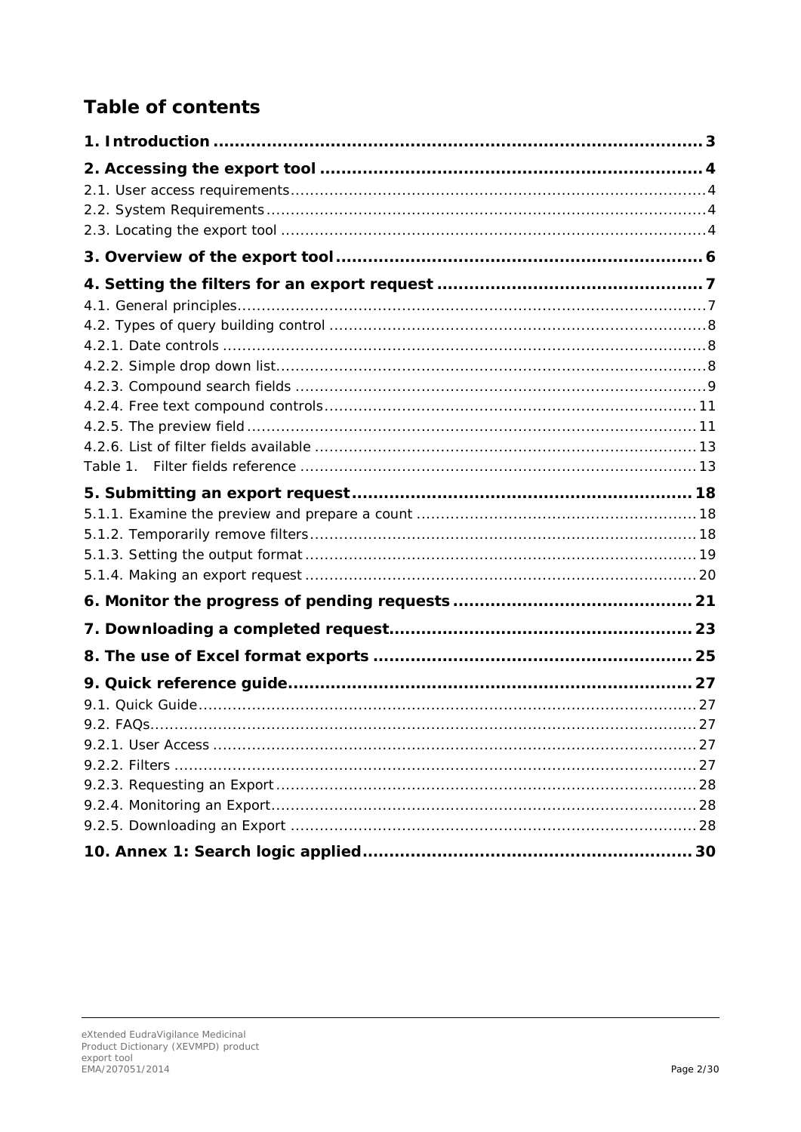# **Table of contents**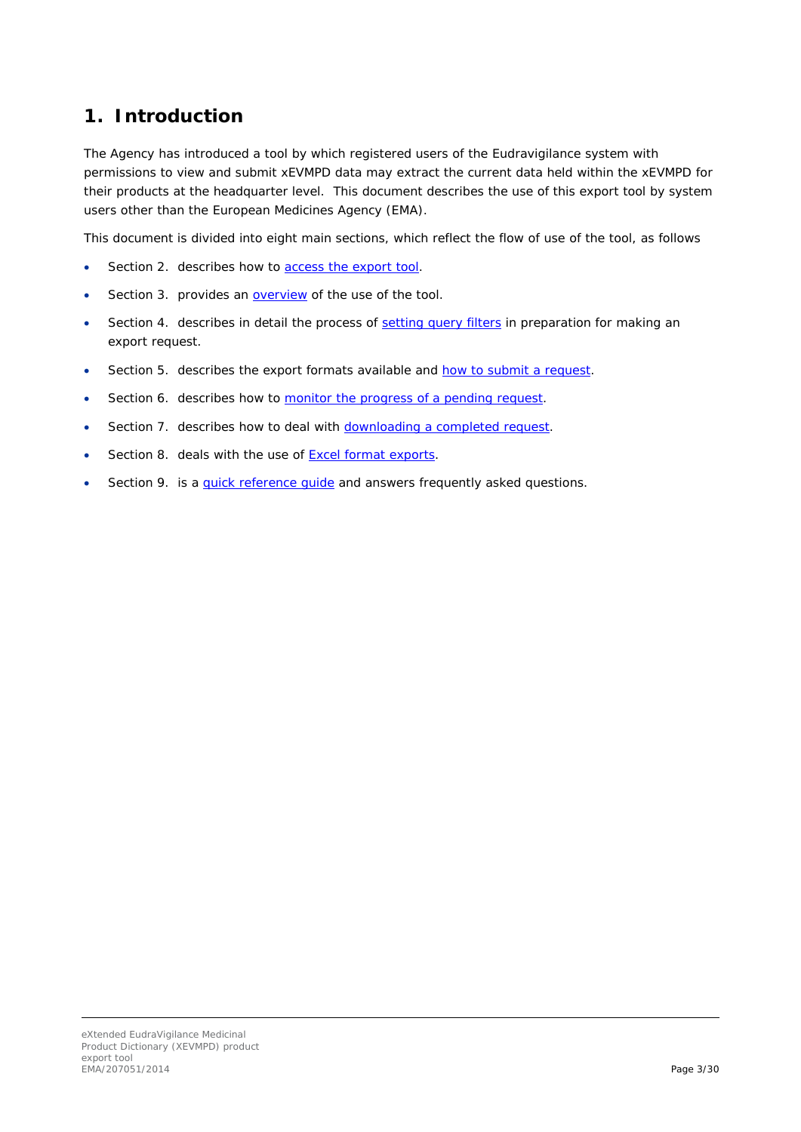## <span id="page-2-0"></span>**1. Introduction**

The Agency has introduced a tool by which registered users of the Eudravigilance system with permissions to view and submit xEVMPD data may extract the current data held within the xEVMPD for their products at the headquarter level. This document describes the use of this export tool by system users other than the European Medicines Agency (EMA).

This document is divided into eight main sections, which reflect the flow of use of the tool, as follows

- Section [2.](#page-2-1) describes how to [access the export tool.](#page-2-1)
- Section [3.](#page-5-0) provides an **overview** of the use of the tool.
- Section [4.](#page-6-0) describes in detail the process of [setting query filters](#page-6-0) in preparation for making an export request.
- Section [5.](#page-17-0) describes the export formats available and [how to submit a request.](#page-17-0)
- Section [6.](#page-19-1) describes how to [monitor the progress of a pending request.](#page-19-1)
- Section [7.](#page-21-0) describes how to deal with [downloading a completed request.](#page-21-0)
- Section [8.](#page-23-0) deals with the use of [Excel format exports.](#page-23-0)
- <span id="page-2-1"></span>Section [9.](#page-26-0) is a quick reference quide and answers frequently asked questions.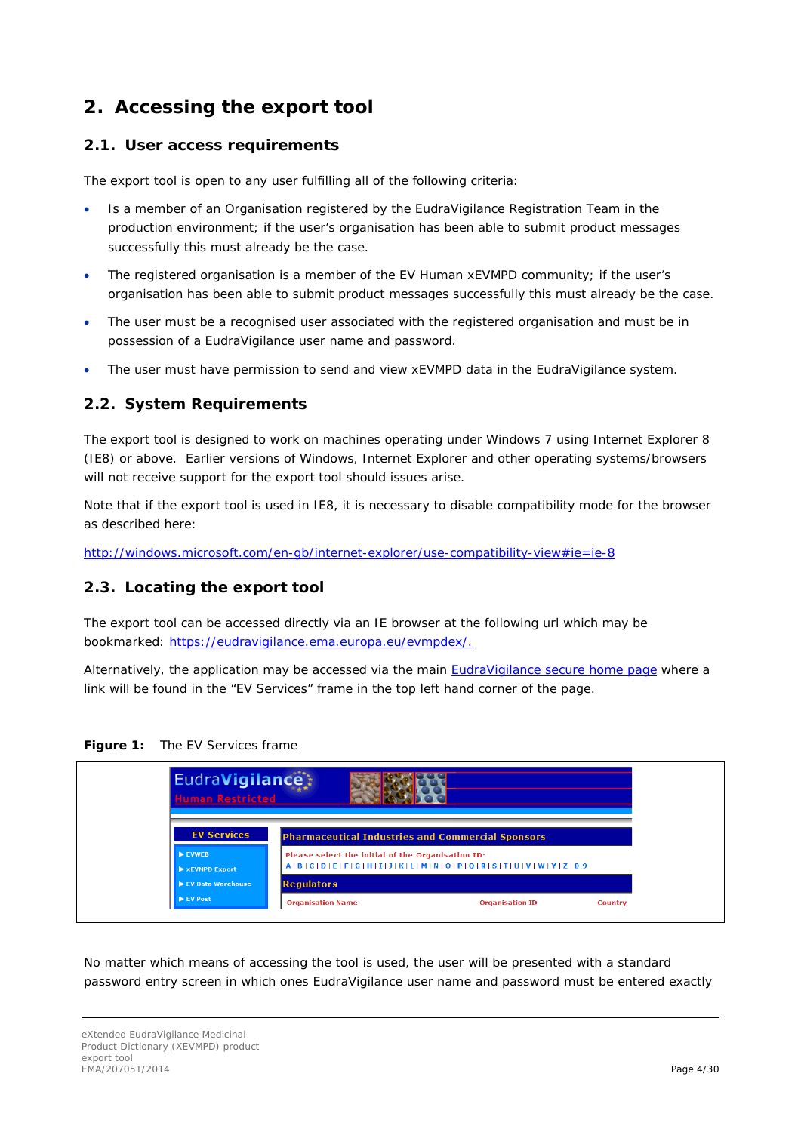### <span id="page-3-0"></span>**2. Accessing the export tool**

#### <span id="page-3-1"></span>*2.1. User access requirements*

The export tool is open to any user fulfilling all of the following criteria:

- Is a member of an Organisation registered by the EudraVigilance Registration Team in the production environment; if the user's organisation has been able to submit product messages successfully this must already be the case.
- The registered organisation is a member of the EV Human xEVMPD community; if the user's organisation has been able to submit product messages successfully this must already be the case.
- The user must be a recognised user associated with the registered organisation and must be in possession of a EudraVigilance user name and password.
- The user must have permission to send and view xEVMPD data in the EudraVigilance system.

### <span id="page-3-2"></span>*2.2. System Requirements*

The export tool is designed to work on machines operating under Windows 7 using Internet Explorer 8 (IE8) or above. Earlier versions of Windows, Internet Explorer and other operating systems/browsers will not receive support for the export tool should issues arise.

Note that if the export tool is used in IE8, it is necessary to disable compatibility mode for the browser as described here:

[http://windows.microsoft.com/en-gb/internet-explorer/use-compatibility-view#ie=ie-8](http://windows.microsoft.com/en-gb/internet-explorer/use-compatibility-view%23ie=ie-8)

#### <span id="page-3-3"></span>*2.3. Locating the export tool*

The export tool can be accessed directly via an IE browser at the following url which may be bookmarked: [https://eudravigilance.ema.europa.eu/evmpdex/.](https://eudravigilance.ema.europa.eu/evmpdex/)

Alternatively, the application may be accessed via the main [EudraVigilance secure home page](https://eudravigilance.ema.europa.eu/human/restricted/PublicView/list2.asp) where a link will be found in the "EV Services" frame in the top left hand corner of the page.





No matter which means of accessing the tool is used, the user will be presented with a standard password entry screen in which ones EudraVigilance user name and password must be entered exactly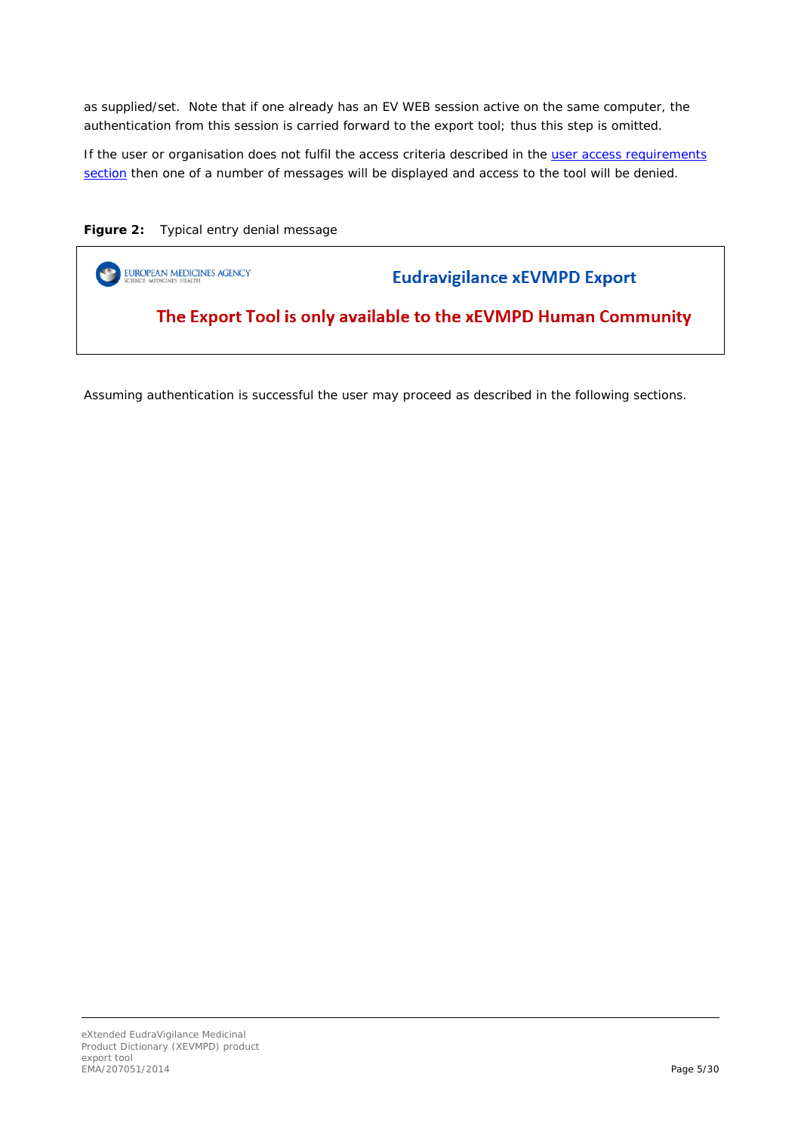as supplied/set. Note that if one already has an EV WEB session active on the same computer, the authentication from this session is carried forward to the export tool; thus this step is omitted.

If the user or organisation does not fulfil the access criteria described in the [user access requirements](#page-3-1)  [section](#page-3-1) then one of a number of messages will be displayed and access to the tool will be denied.

**Figure 2:** Typical entry denial message



Assuming authentication is successful the user may proceed as described in the following sections.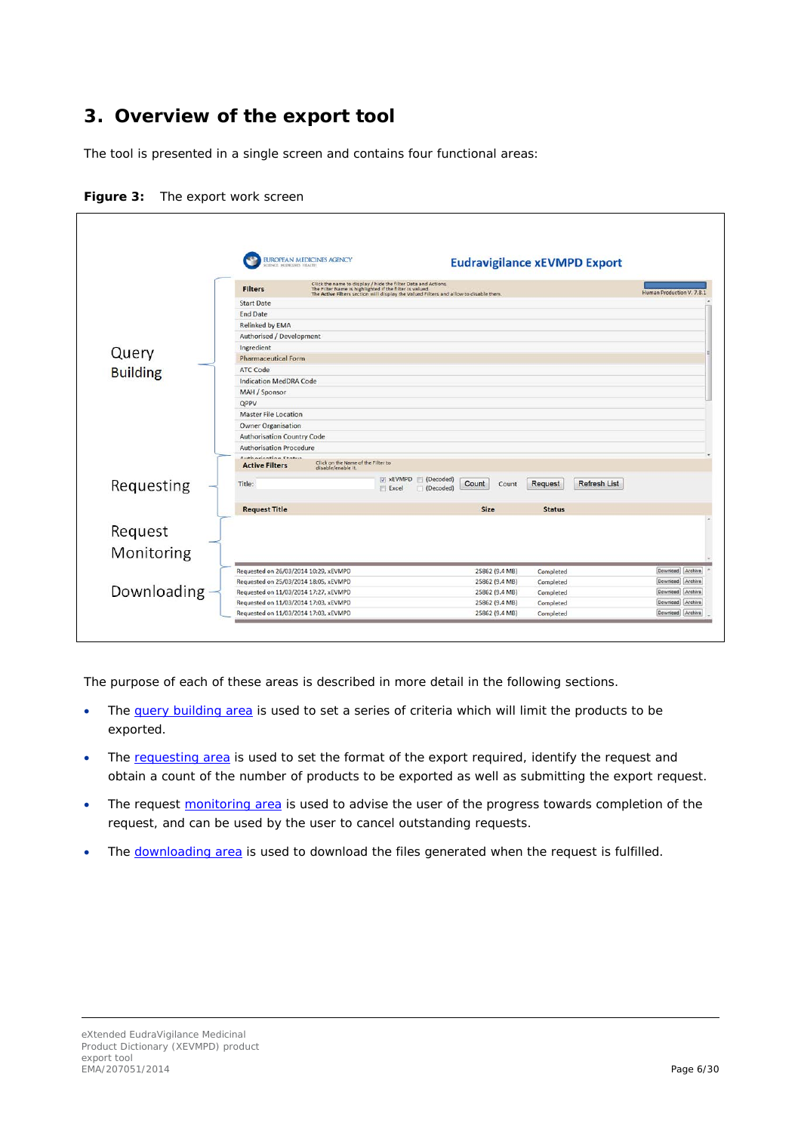## <span id="page-5-0"></span>**3. Overview of the export tool**

The tool is presented in a single screen and contains four functional areas:

|                 | MIDICINES HEALTH                              | <b>EUROPEAN MEDICINES AGENCY</b>                                                                                                                                                                                  |                             | <b>Eudravigilance xEVMPD Export</b>   |                           |         |  |  |  |  |
|-----------------|-----------------------------------------------|-------------------------------------------------------------------------------------------------------------------------------------------------------------------------------------------------------------------|-----------------------------|---------------------------------------|---------------------------|---------|--|--|--|--|
|                 | <b>Filters</b>                                | Click the name to display / hide the filter Data and Actions.<br>The Filter Name is highlighted if the filter is valued.<br>The Active Filters section will display the Valued Filters and allow to disable them. |                             |                                       | Human Production V. 7.8.1 |         |  |  |  |  |
|                 | <b>Start Date</b>                             |                                                                                                                                                                                                                   |                             |                                       |                           |         |  |  |  |  |
|                 | <b>End Date</b>                               |                                                                                                                                                                                                                   |                             |                                       |                           |         |  |  |  |  |
|                 | <b>Relinked by EMA</b>                        |                                                                                                                                                                                                                   |                             |                                       |                           |         |  |  |  |  |
|                 | Authorised / Development                      |                                                                                                                                                                                                                   |                             |                                       |                           |         |  |  |  |  |
| Query           | Ingredient                                    |                                                                                                                                                                                                                   |                             |                                       |                           |         |  |  |  |  |
|                 | <b>Pharmaceutical Form</b>                    |                                                                                                                                                                                                                   |                             |                                       |                           |         |  |  |  |  |
| <b>Building</b> | ATC Code                                      |                                                                                                                                                                                                                   |                             |                                       |                           |         |  |  |  |  |
|                 | <b>Indication MedDRA Code</b>                 |                                                                                                                                                                                                                   |                             |                                       |                           |         |  |  |  |  |
|                 | MAH / Sponsor                                 |                                                                                                                                                                                                                   |                             |                                       |                           |         |  |  |  |  |
|                 | QPPV                                          |                                                                                                                                                                                                                   |                             |                                       |                           |         |  |  |  |  |
|                 | <b>Master File Location</b>                   |                                                                                                                                                                                                                   |                             |                                       |                           |         |  |  |  |  |
|                 | <b>Owner Organisation</b>                     |                                                                                                                                                                                                                   |                             |                                       |                           |         |  |  |  |  |
|                 | <b>Authorisation Country Code</b>             |                                                                                                                                                                                                                   |                             |                                       |                           |         |  |  |  |  |
|                 | <b>Authorisation Procedure</b>                |                                                                                                                                                                                                                   |                             |                                       |                           |         |  |  |  |  |
|                 | Authorization Chatus<br><b>Active Filters</b> | Click on the Name of the Filter to<br>disable/enable it.                                                                                                                                                          |                             |                                       |                           |         |  |  |  |  |
| Requesting      | Title:                                        | v xEVMPD (Decoded)<br><b>Excel</b>                                                                                                                                                                                | Count<br>Count<br>(Decoded) | <b>Request</b><br><b>Refresh List</b> |                           |         |  |  |  |  |
|                 | <b>Request Title</b>                          |                                                                                                                                                                                                                   | Size                        | <b>Status</b>                         |                           |         |  |  |  |  |
| Request         |                                               |                                                                                                                                                                                                                   |                             |                                       |                           |         |  |  |  |  |
| Monitoring      |                                               |                                                                                                                                                                                                                   |                             |                                       |                           |         |  |  |  |  |
|                 | Requested on 26/03/2014 10:29, xEVMPD         |                                                                                                                                                                                                                   | 25862 (9.4 MB)              |                                       | Download Archive          |         |  |  |  |  |
|                 | Requested on 25/03/2014 18:05, xEVMPD         |                                                                                                                                                                                                                   | 25862 (9.4 MB)              | Completed<br>Completed                | Download                  | Archive |  |  |  |  |
| Downloading     | Requested on 11/03/2014 17:27, xEVMPD         |                                                                                                                                                                                                                   | 25862 (9.4 MB)              | Completed                             | Download                  | Archive |  |  |  |  |
|                 | Requested on 11/03/2014 17:03, xEVMPD         |                                                                                                                                                                                                                   | 25862 (9.4 MB)              | Completed                             | Download Archive          |         |  |  |  |  |
|                 | Requested on 11/03/2014 17:03, xEVMPD         |                                                                                                                                                                                                                   | 25862 (9.4 MB)              | Completed                             | Download Archive          |         |  |  |  |  |

**Figure 3:** The export work screen

The purpose of each of these areas is described in more detail in the following sections.

- The [query building area](#page-6-0) is used to set a series of criteria which will limit the products to be exported.
- The [requesting area](#page-17-0) is used to set the format of the export required, identify the request and obtain a count of the number of products to be exported as well as submitting the export request.
- The request [monitoring area](#page-19-1) is used to advise the user of the progress towards completion of the request, and can be used by the user to cancel outstanding requests.
- The [downloading area](#page-21-0) is used to download the files generated when the request is fulfilled.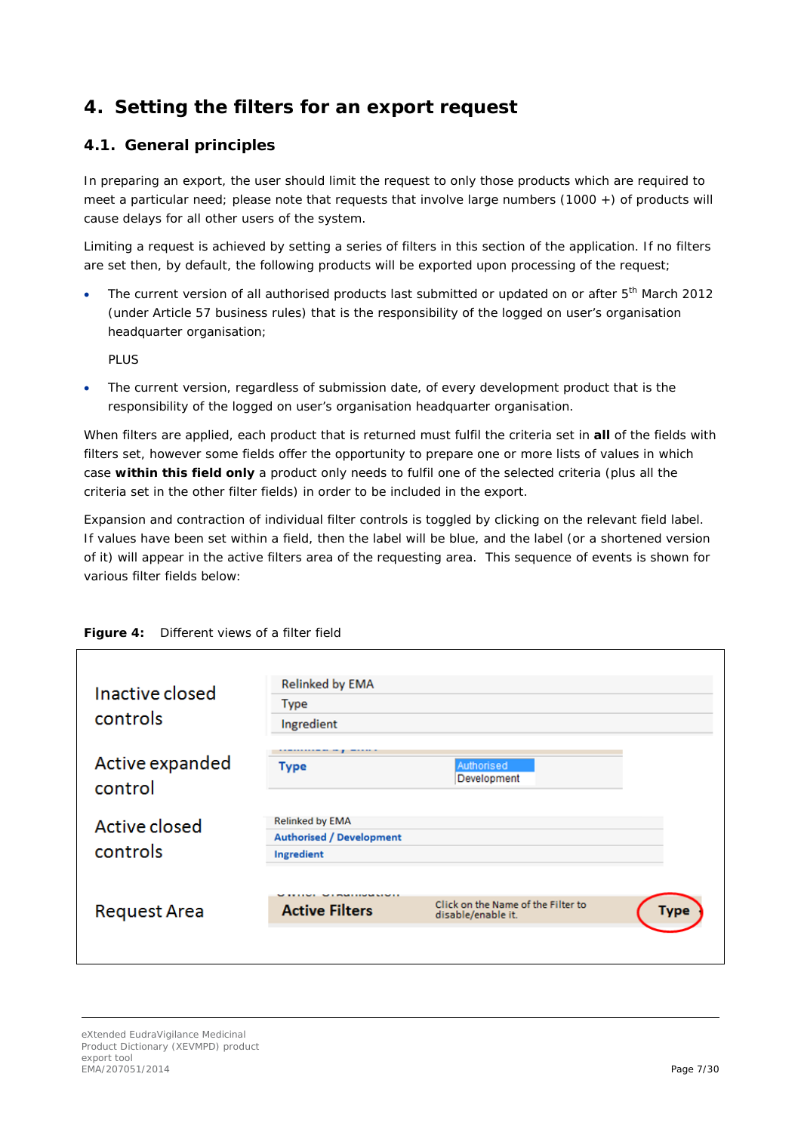## <span id="page-6-0"></span>**4. Setting the filters for an export request**

### <span id="page-6-1"></span>*4.1. General principles*

In preparing an export, the user should limit the request to only those products which are required to meet a particular need; please note that requests that involve large numbers (1000 +) of products will cause delays for all other users of the system.

Limiting a request is achieved by setting a series of filters in this section of the application. If no filters are set then, by default, the following products will be exported upon processing of the request;

The current version of all authorised products last submitted or updated on or after 5<sup>th</sup> March 2012 (under Article 57 business rules) that is the responsibility of the logged on user's organisation headquarter organisation;

PLUS

The current version, regardless of submission date, of every development product that is the responsibility of the logged on user's organisation headquarter organisation.

When filters are applied, each product that is returned must fulfil the criteria set in *all* of the fields with filters set, however some fields offer the opportunity to prepare one or more lists of values in which case *within this field only* a product only needs to fulfil one of the selected criteria (plus all the criteria set in the other filter fields) in order to be included in the export.

Expansion and contraction of individual filter controls is toggled by clicking on the relevant field label. If values have been set within a field, then the label will be blue, and the label (or a shortened version of it) will appear in the active filters area of the requesting area. This sequence of events is shown for various filter fields below:

| Inactive closed<br>controls | <b>Relinked by EMA</b><br><b>Type</b><br>Ingredient                     |                                                          |             |
|-----------------------------|-------------------------------------------------------------------------|----------------------------------------------------------|-------------|
| Active expanded<br>control  | Type                                                                    | Authorised<br>Development                                |             |
| Active closed<br>controls   | <b>Relinked by EMA</b><br><b>Authorised / Development</b><br>Ingredient |                                                          |             |
| <b>Request Area</b>         | <b>I POMERING MAINER</b><br><b>Active Filters</b>                       | Click on the Name of the Filter to<br>disable/enable it. | <b>Type</b> |

**Figure 4:** Different views of a filter field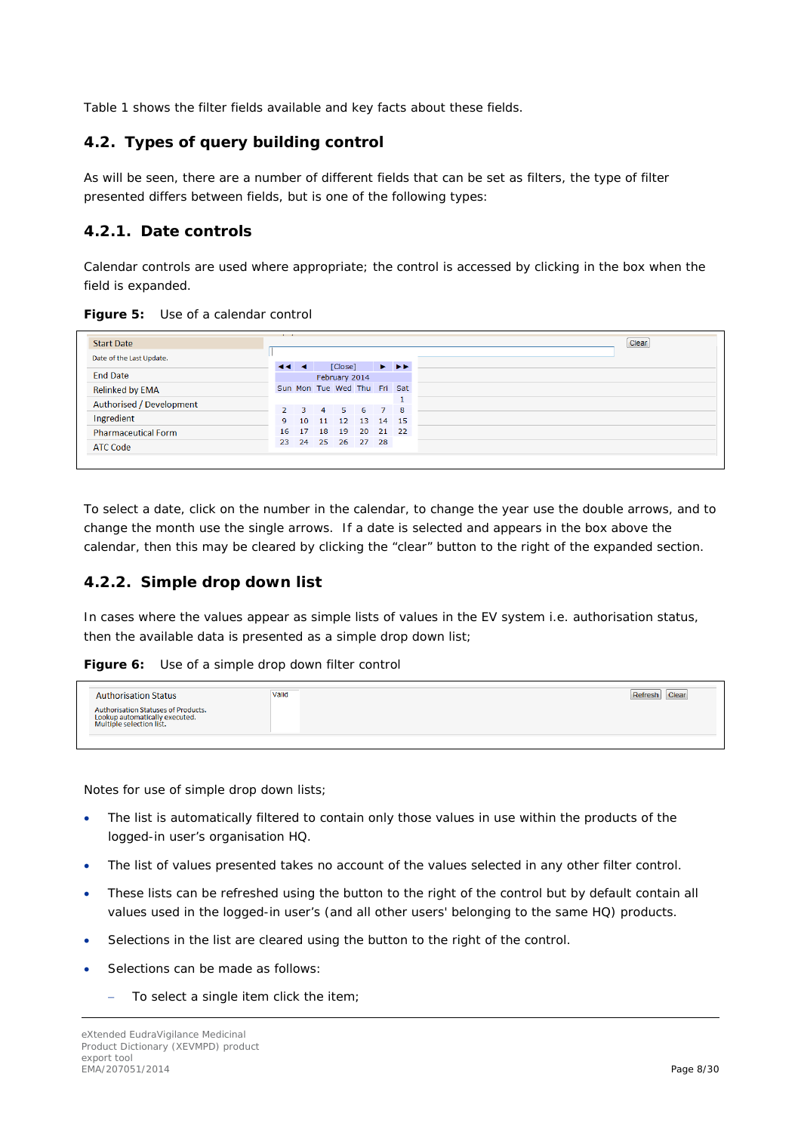[Table 1](#page-12-1) shows the filter fields available and key facts about these fields.

#### <span id="page-7-0"></span>*4.2. Types of query building control*

As will be seen, there are a number of different fields that can be set as filters, the type of filter presented differs between fields, but is one of the following types:

### <span id="page-7-1"></span>**4.2.1. Date controls**

Calendar controls are used where appropriate; the control is accessed by clicking in the box when the field is expanded.

| <b>Start Date</b>          |          |  |                                    |  |                                                                   |
|----------------------------|----------|--|------------------------------------|--|-------------------------------------------------------------------|
| Date of the Last Update.   | $-4 - 4$ |  | [Close]                            |  | $\blacktriangleright$ $\blacktriangleright$ $\blacktriangleright$ |
| <b>End Date</b>            |          |  | February 2014                      |  |                                                                   |
| <b>Relinked by EMA</b>     |          |  | Sun Mon Tue Wed Thu Fri Sat        |  |                                                                   |
| Authorised / Development   |          |  |                                    |  |                                                                   |
| Ingredient                 | 9        |  | 2 3 4 5 6 7 8<br>10 11 12 13 14 15 |  |                                                                   |
| <b>Pharmaceutical Form</b> |          |  | 16 17 18 19 20 21 22               |  |                                                                   |
| <b>ATC Code</b>            |          |  | 23 24 25 26 27 28                  |  |                                                                   |

To select a date, click on the number in the calendar, to change the year use the double arrows, and to change the month use the single arrows. If a date is selected and appears in the box above the calendar, then this may be cleared by clicking the "clear" button to the right of the expanded section.

### <span id="page-7-2"></span>**4.2.2. Simple drop down list**

In cases where the values appear as simple lists of values in the EV system i.e. authorisation status, then the available data is presented as a simple drop down list;

**Figure 6:** Use of a simple drop down filter control

| Authorisation Statuses of Products. | <b>Authorisation Status</b>                                | Valid | Clear |  |
|-------------------------------------|------------------------------------------------------------|-------|-------|--|
|                                     | Lookup automatically executed.<br>Multiple selection list. |       |       |  |

Notes for use of simple drop down lists;

- The list is automatically filtered to contain only those values in use within the products of the logged-in user's organisation HQ.
- The list of values presented takes no account of the values selected in any other filter control.
- These lists can be refreshed using the button to the right of the control but by default contain all values used in the logged-in user's (and all other users' belonging to the same HQ) products.
- Selections in the list are cleared using the button to the right of the control.
- Selections can be made as follows:
	- − To select a single item click the item;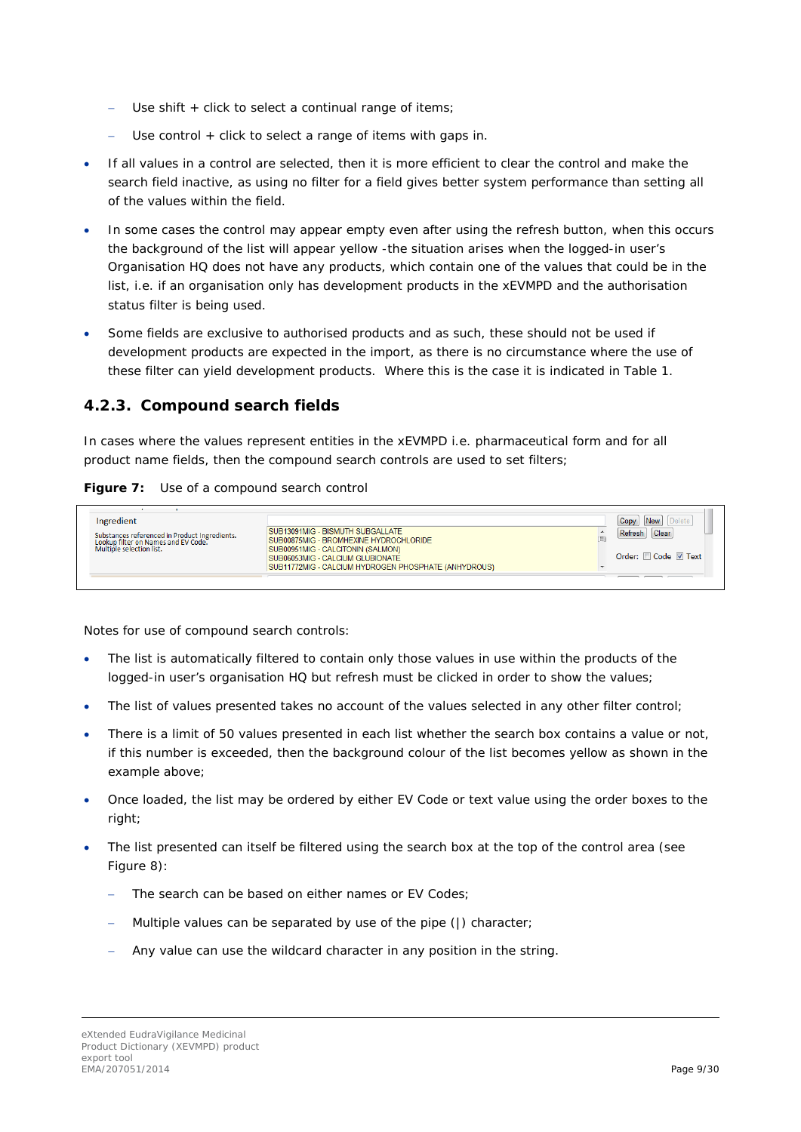- Use shift + click to select a continual range of items;
- Use control + click to select a range of items with gaps in.
- If all values in a control are selected, then it is more efficient to clear the control and make the search field inactive, as using no filter for a field gives better system performance than setting all of the values within the field.
- In some cases the control may appear empty even after using the refresh button, when this occurs the background of the list will appear yellow -the situation arises when the logged-in user's Organisation HQ does not have any products, which contain one of the values that could be in the list, i.e. if an organisation only has development products in the xEVMPD and the authorisation status filter is being used.
- Some fields are exclusive to authorised products and as such, these should not be used if development products are expected in the import, as there is no circumstance where the use of these filter can yield development products. Where this is the case it is indicated in [Table 1.](#page-12-1)

#### <span id="page-8-0"></span>**4.2.3. Compound search fields**

In cases where the values represent entities in the xEVMPD i.e. pharmaceutical form and for all product name fields, then the compound search controls are used to set filters;

#### Figure 7: Use of a compound search control

| Ingredient<br>Substances referenced in Product Ingredients.<br>Lookup filter on Names and EV Code.<br>Multiple selection list. | SUB13091MIG - BISMUTH SUBGALLATE<br>SUB00875MIG - BROMHEXINE HYDROCHLORIDE<br>SUB00951MIG - CALCITONIN (SALMON)<br>SUB06053MIG - CALCIUM GLUBIONATE<br>SUB11772MIG - CALCIUM HYDROGEN PHOSPHATE (ANHYDROUS) | <b>New</b><br>Copy<br>Clear<br>Refresh<br>Έ<br>Order: Code V Text |
|--------------------------------------------------------------------------------------------------------------------------------|-------------------------------------------------------------------------------------------------------------------------------------------------------------------------------------------------------------|-------------------------------------------------------------------|
|                                                                                                                                |                                                                                                                                                                                                             |                                                                   |

Notes for use of compound search controls:

- The list is automatically filtered to contain only those values in use within the products of the logged-in user's organisation HQ but refresh must be clicked in order to show the values;
- The list of values presented takes no account of the values selected in any other filter control;
- There is a limit of 50 values presented in each list whether the search box contains a value or not, if this number is exceeded, then the background colour of the list becomes yellow as shown in the example above;
- Once loaded, the list may be ordered by either EV Code or text value using the order boxes to the right;
- The list presented can itself be filtered using the search box at the top of the control area (see Figure 8):
	- − The search can be based on either names or EV Codes;
	- − Multiple values can be separated by use of the pipe (|) character;
	- Any value can use the wildcard character in any position in the string.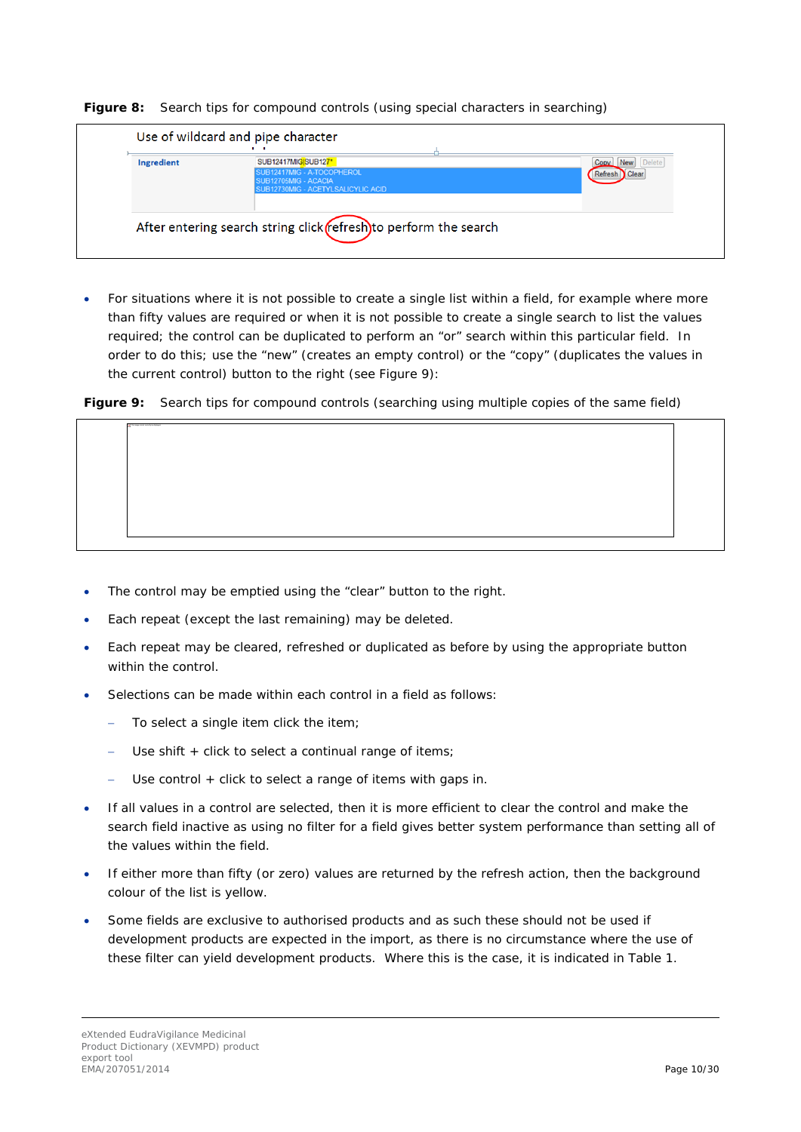

| Ingredient | SUB12417MIGISUB127*                               | <b>New</b><br>Copy |
|------------|---------------------------------------------------|--------------------|
|            | UB12417MIG - A-TOCOPHEROL<br>SUB12705MIG - ACACIA | Clear              |
|            | SUB12730MIG - ACETYLSALICYLIC ACID                |                    |
|            |                                                   |                    |

• For situations where it is not possible to create a single list within a field, for example where more than fifty values are required or when it is not possible to create a single search to list the values required; the control can be duplicated to perform an "or" search within this particular field. In order to do this; use the "new" (creates an empty control) or the "copy" (duplicates the values in the current control) button to the right (see Figure 9):

**Figure 9:** Search tips for compound controls (searching using multiple copies of the same field)

- The control may be emptied using the "clear" button to the right.
- Each repeat (except the last remaining) may be deleted.
- Each repeat may be cleared, refreshed or duplicated as before by using the appropriate button within the control.
- Selections can be made within each control in a field as follows:
	- − To select a single item click the item;
	- Use shift + click to select a continual range of items;
	- Use control + click to select a range of items with gaps in.
- If all values in a control are selected, then it is more efficient to clear the control and make the search field inactive as using no filter for a field gives better system performance than setting all of the values within the field.
- If either more than fifty (or zero) values are returned by the refresh action, then the background colour of the list is yellow.
- Some fields are exclusive to authorised products and as such these should not be used if development products are expected in the import, as there is no circumstance where the use of these filter can yield development products. Where this is the case, it is indicated in [Table 1.](#page-12-1)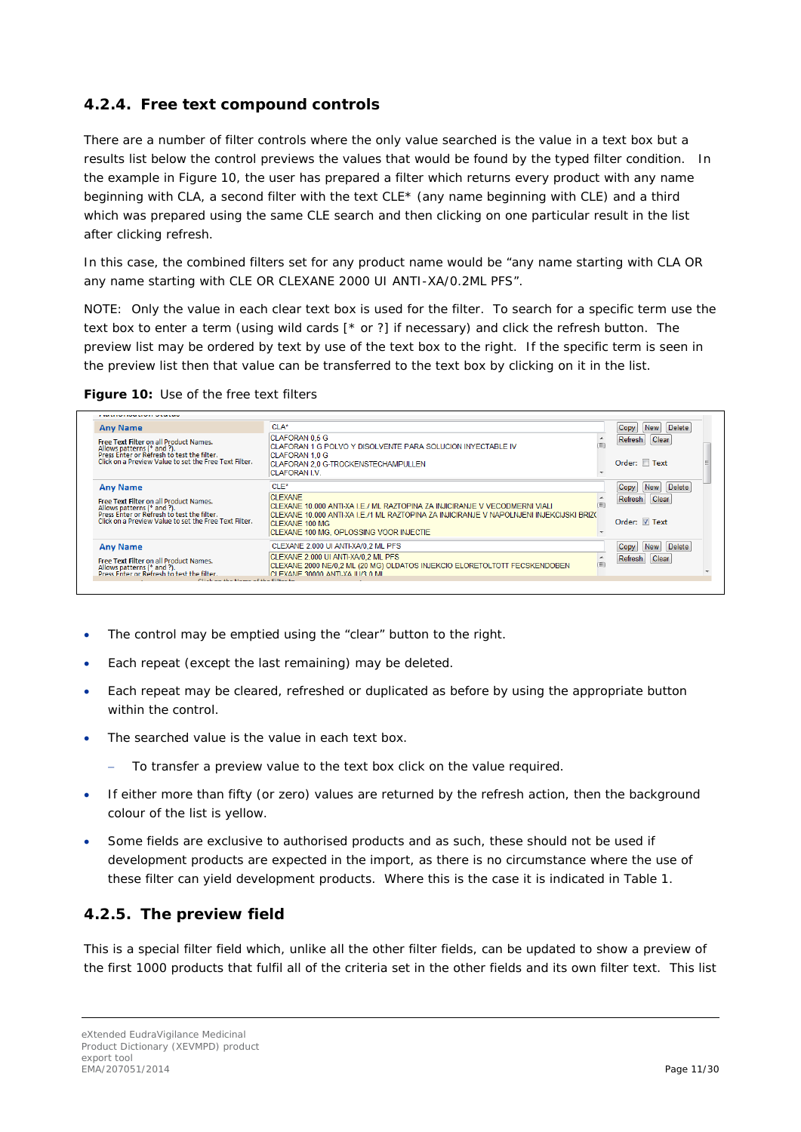### <span id="page-10-0"></span>**4.2.4. Free text compound controls**

There are a number of filter controls where the only value searched is the value in a text box but a results list below the control previews the values that would be found by the typed filter condition. In the example in Figure 10, the user has prepared a filter which returns every product with any name beginning with CLA, a second filter with the text CLE\* (any name beginning with CLE) and a third which was prepared using the same CLE search and then clicking on one particular result in the list after clicking refresh.

In this case, the combined filters set for any product name would be "any name starting with CLA *OR* any name starting with CLE *OR* CLEXANE 2000 UI ANTI-XA/0.2ML PFS".

NOTE: Only the value in each clear text box is used for the filter. To search for a specific term use the text box to enter a term (using wild cards [\* or ?] if necessary) and click the refresh button. The preview list may be ordered by text by use of the text box to the right. If the specific term is seen in the preview list then that value can be transferred to the text box by clicking on it in the list.

| <b>Any Name</b>                                                                                                                                                             | $CI A^*$                                                                                                                                                                                  |   | Delete<br><b>New</b><br>Copy    |  |
|-----------------------------------------------------------------------------------------------------------------------------------------------------------------------------|-------------------------------------------------------------------------------------------------------------------------------------------------------------------------------------------|---|---------------------------------|--|
| Free Text Filter on all Product Names.<br>Allows patterns (* and ?).<br>Press Enter or Refresh to test the filter.<br>Click on a Preview Value to set the Free Text Filter. | <b>CLAFORAN 0.5 G</b><br>CLAFORAN 1 G POLVO Y DISOLVENTE PARA SOLUCION INYECTABLE IV<br><b>CLAFORAN 1.0 G</b><br>CLAFORAN 2.0 G-TROCKENSTECHAMPULLEN<br><b>CLAFORAN LV</b>                |   | Clear<br>Refresh<br>Order: Text |  |
| <b>Any Name</b>                                                                                                                                                             | $CLE^*$                                                                                                                                                                                   |   | Delete<br>Copy<br>New           |  |
| Free Text Filter on all Product Names.<br>Allows patterns (* and ?).<br>Press Enter or Refresh to test the filter.                                                          | <b>CLEXANE</b><br>CLEXANE 10.000 ANTI-XA I.E./ ML RAZTOPINA ZA INJICIRANJE V VECODMERNI VIALI<br>CLEXANE 10.000 ANTI-XA I.E./1 ML RAZTOPINA ZA INJICIRANJE V NAPOLNJENI INJEKCIJSKI BRIZ( |   | Clear<br>Refresh                |  |
| Click on a Preview Value to set the Free Text Filter.                                                                                                                       | <b>CLEXANE 100 MG</b><br>CLEXANE 100 MG, OPLOSSING VOOR INJECTIE                                                                                                                          |   | Order: 7 Text                   |  |
| <b>Any Name</b>                                                                                                                                                             | CLEXANE 2.000 UI ANTI-XA/0,2 ML PFS                                                                                                                                                       |   | Delete<br>New<br>Copy           |  |
| Free Text Filter on all Product Names.<br>Allows patterns (* and ?).<br>Press Enter or Refresh to test the filter.                                                          | CLEXANE 2.000 UI ANTI-XA/0.2 ML PFS<br>CLEXANE 2000 NE/0,2 ML (20 MG) OLDATOS INJEKCIO ELORETOLTOTT FECSKENDOBEN<br>CLEXANE 30000 ANTI-XA ILI/3 0 ML                                      | 画 | Clear<br>Refresh                |  |
| Official and they because of the Citizens to                                                                                                                                |                                                                                                                                                                                           |   |                                 |  |

|  |  | Figure 10: Use of the free text filters |
|--|--|-----------------------------------------|
|--|--|-----------------------------------------|

- The control may be emptied using the "clear" button to the right.
- Each repeat (except the last remaining) may be deleted.
- Each repeat may be cleared, refreshed or duplicated as before by using the appropriate button within the control.
- The searched value is the value in each text box.
	- To transfer a preview value to the text box click on the value required.
- If either more than fifty (or zero) values are returned by the refresh action, then the background colour of the list is yellow.
- Some fields are exclusive to authorised products and as such, these should not be used if development products are expected in the import, as there is no circumstance where the use of these filter can yield development products. Where this is the case it is indicated in [Table 1.](#page-12-1)

### <span id="page-10-1"></span>**4.2.5. The preview field**

This is a special filter field which, unlike all the other filter fields, can be updated to show a preview of the first 1000 products that fulfil all of the criteria set in the other fields and its own filter text. This list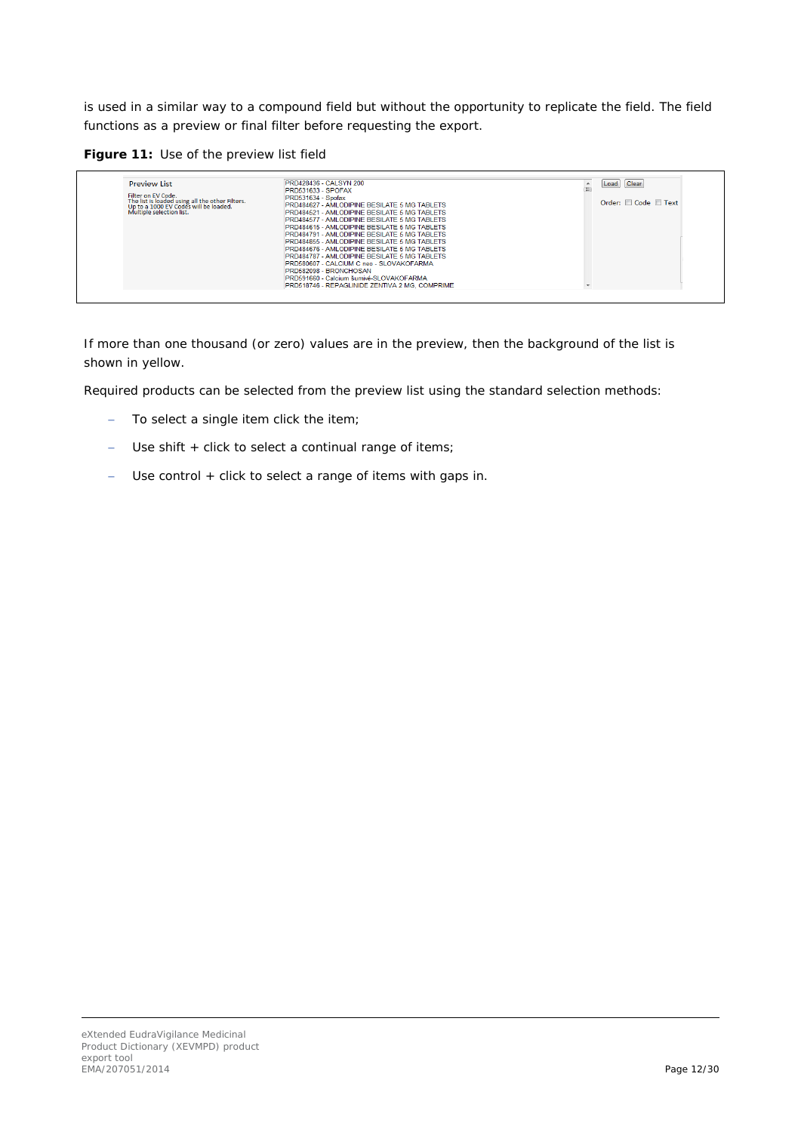is used in a similar way to a compound field but without the opportunity to replicate the field. The field functions as a preview or final filter before requesting the export.

**Figure 11:** Use of the preview list field

| <b>Preview List</b><br>Filter on EV Code.<br>The list is loaded using all the other Filters.<br>Up to a 1000 EV Codes will be loaded.<br>Multiple selection list. | PRD428436 - CALSYN 200<br><b>PRD531633 - SPOFAX</b><br>PRD531634 - Spofax<br><b>PRD484627 - AMLODIPINE BESILATE 5 MG TABLETS</b><br>PRD484521 - AMI ODIPINE BESILATE 5 MG TABLETS<br><b>PRD484577 - AMLODIPINE BESILATE 5 MG TABLETS</b><br>PRD484615 - AMLODIPINE BESILATE 5 MG TABLETS<br>PRD484791 - AMLODIPINE BESILATE 5 MG TABLETS<br>PRD484855 - AMLODIPINE BESILATE 5 MG TABLETS<br><b>PRD484676 - AMLODIPINE BESILATE 5 MG TABLETS</b><br>PRD484787 - AMLODIPINE BESILATE 5 MG TABLETS<br>PRD580607 - CALCIUM C neo - SLOVAKOFARMA<br>PRD582098 - BRONCHOSAN<br>PRD591660 - Calcium šumivé-SLOVAKOEARMA<br>PRD518746 - REPAGLINIDE ZENTIVA 2 MG, COMPRIME | Clear<br>Load<br>Order: Code Text |
|-------------------------------------------------------------------------------------------------------------------------------------------------------------------|--------------------------------------------------------------------------------------------------------------------------------------------------------------------------------------------------------------------------------------------------------------------------------------------------------------------------------------------------------------------------------------------------------------------------------------------------------------------------------------------------------------------------------------------------------------------------------------------------------------------------------------------------------------------|-----------------------------------|
|-------------------------------------------------------------------------------------------------------------------------------------------------------------------|--------------------------------------------------------------------------------------------------------------------------------------------------------------------------------------------------------------------------------------------------------------------------------------------------------------------------------------------------------------------------------------------------------------------------------------------------------------------------------------------------------------------------------------------------------------------------------------------------------------------------------------------------------------------|-----------------------------------|

If more than one thousand (or zero) values are in the preview, then the background of the list is shown in yellow.

Required products can be selected from the preview list using the standard selection methods:

- − To select a single item click the item;
- − Use shift + click to select a continual range of items;
- − Use control + click to select a range of items with gaps in.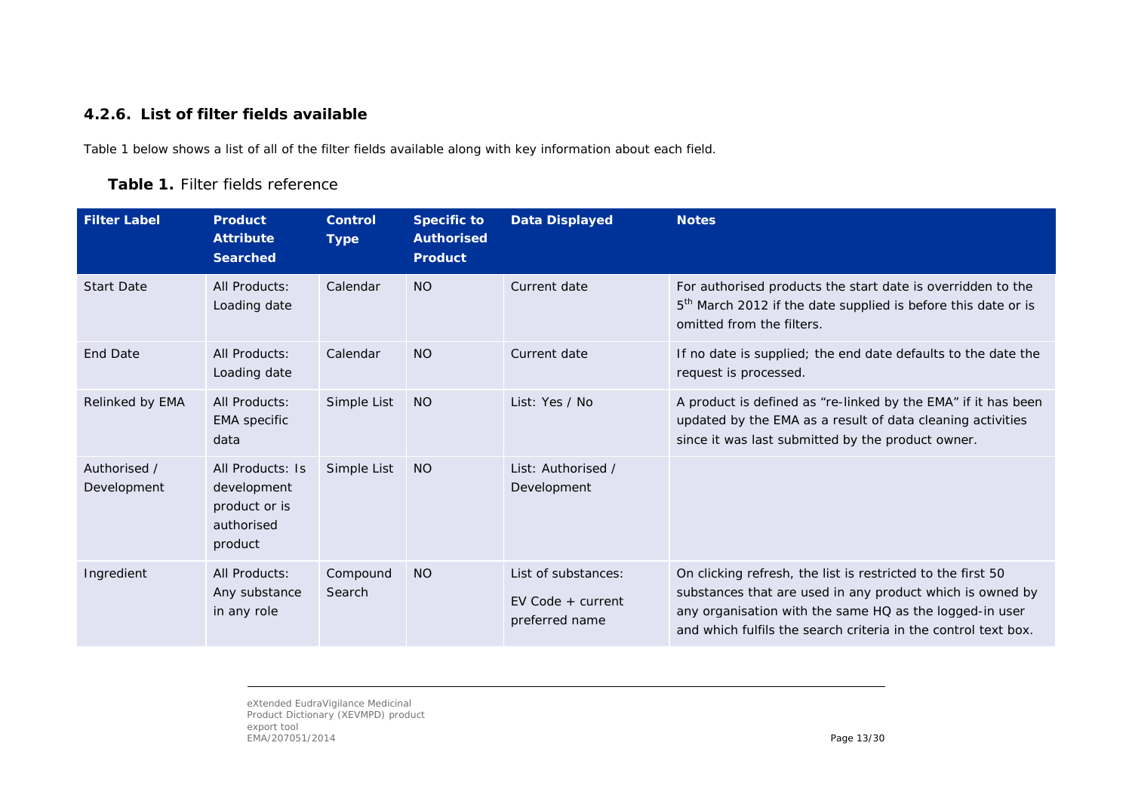### **4.2.6. List of filter fields available**

<span id="page-12-2"></span>[Table 1](#page-12-2) below shows a list of all of the filter fields available along with key information about each field.

#### **Table 1.** Filter fields reference

<span id="page-12-0"></span>

| <b>Filter Label</b>         | <b>Product</b><br><b>Attribute</b><br><b>Searched</b>                     | <b>Control</b><br><b>Type</b> | <b>Specific to</b><br><b>Authorised</b><br><b>Product</b> | <b>Data Displayed</b>                                        | <b>Notes</b>                                                                                                                                                                                                                                          |
|-----------------------------|---------------------------------------------------------------------------|-------------------------------|-----------------------------------------------------------|--------------------------------------------------------------|-------------------------------------------------------------------------------------------------------------------------------------------------------------------------------------------------------------------------------------------------------|
| <b>Start Date</b>           | All Products:<br>Loading date                                             | Calendar                      | <b>NO</b>                                                 | Current date                                                 | For authorised products the start date is overridden to the<br>5 <sup>th</sup> March 2012 if the date supplied is before this date or is<br>omitted from the filters.                                                                                 |
| <b>End Date</b>             | All Products:<br>Loading date                                             | Calendar                      | <b>NO</b>                                                 | Current date                                                 | If no date is supplied; the end date defaults to the date the<br>request is processed.                                                                                                                                                                |
| Relinked by EMA             | All Products:<br><b>EMA</b> specific<br>data                              | Simple List                   | <b>NO</b>                                                 | List: Yes / No                                               | A product is defined as "re-linked by the EMA" if it has been<br>updated by the EMA as a result of data cleaning activities<br>since it was last submitted by the product owner.                                                                      |
| Authorised /<br>Development | All Products: Is<br>development<br>product or is<br>authorised<br>product | Simple List                   | <b>NO</b>                                                 | List: Authorised /<br>Development                            |                                                                                                                                                                                                                                                       |
| Ingredient                  | All Products:<br>Any substance<br>in any role                             | Compound<br>Search            | <b>NO</b>                                                 | List of substances:<br>$EV$ Code + current<br>preferred name | On clicking refresh, the list is restricted to the first 50<br>substances that are used in any product which is owned by<br>any organisation with the same HQ as the logged-in user<br>and which fulfils the search criteria in the control text box. |

<span id="page-12-1"></span>eXtended EudraVigilance Medicinal Product Dictionary (XEVMPD) product export tool EMA/207051/2014 Page 13/30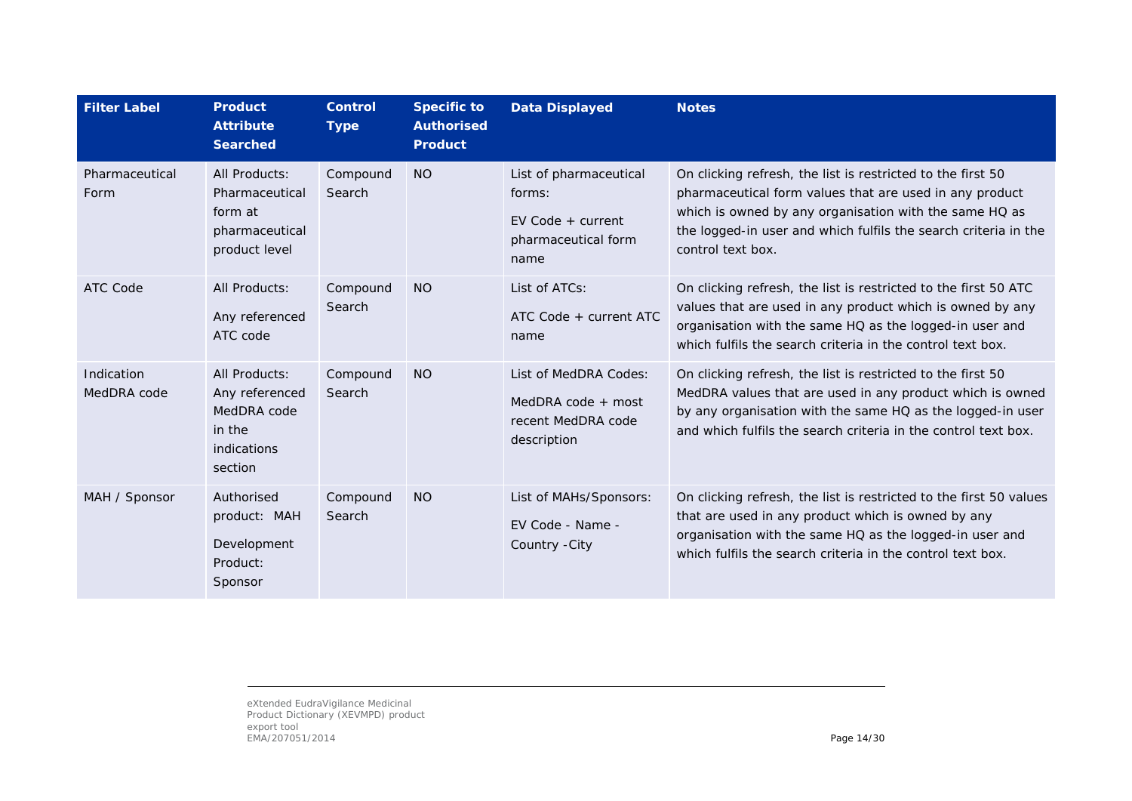| <b>Filter Label</b>       | <b>Product</b><br><b>Attribute</b><br><b>Searched</b>                              | <b>Control</b><br><b>Type</b> | <b>Specific to</b><br><b>Authorised</b><br><b>Product</b> | <b>Data Displayed</b>                                                                  | <b>Notes</b>                                                                                                                                                                                                                                                             |
|---------------------------|------------------------------------------------------------------------------------|-------------------------------|-----------------------------------------------------------|----------------------------------------------------------------------------------------|--------------------------------------------------------------------------------------------------------------------------------------------------------------------------------------------------------------------------------------------------------------------------|
| Pharmaceutical<br>Form    | All Products:<br>Pharmaceutical<br>form at<br>pharmaceutical<br>product level      | Compound<br>Search            | <b>NO</b>                                                 | List of pharmaceutical<br>forms:<br>$EV$ Code + current<br>pharmaceutical form<br>name | On clicking refresh, the list is restricted to the first 50<br>pharmaceutical form values that are used in any product<br>which is owned by any organisation with the same HQ as<br>the logged-in user and which fulfils the search criteria in the<br>control text box. |
| ATC Code                  | All Products:<br>Any referenced<br>ATC code                                        | Compound<br>Search            | <b>NO</b>                                                 | List of ATCs:<br>ATC Code + current ATC<br>name                                        | On clicking refresh, the list is restricted to the first 50 ATC<br>values that are used in any product which is owned by any<br>organisation with the same HQ as the logged-in user and<br>which fulfils the search criteria in the control text box.                    |
| Indication<br>MedDRA code | All Products:<br>Any referenced<br>MedDRA code<br>in the<br>indications<br>section | Compound<br>Search            | <b>NO</b>                                                 | List of MedDRA Codes:<br>MedDRA code + most<br>recent MedDRA code<br>description       | On clicking refresh, the list is restricted to the first 50<br>MedDRA values that are used in any product which is owned<br>by any organisation with the same HQ as the logged-in user<br>and which fulfils the search criteria in the control text box.                 |
| MAH / Sponsor             | Authorised<br>product: MAH<br>Development<br>Product:<br>Sponsor                   | Compound<br>Search            | <b>NO</b>                                                 | List of MAHs/Sponsors:<br>EV Code - Name -<br>Country - City                           | On clicking refresh, the list is restricted to the first 50 values<br>that are used in any product which is owned by any<br>organisation with the same HQ as the logged-in user and<br>which fulfils the search criteria in the control text box.                        |

eXtended EudraVigilance Medicinal Product Dictionary (XEVMPD) product export tool EMA/207051/2014 Page 14/30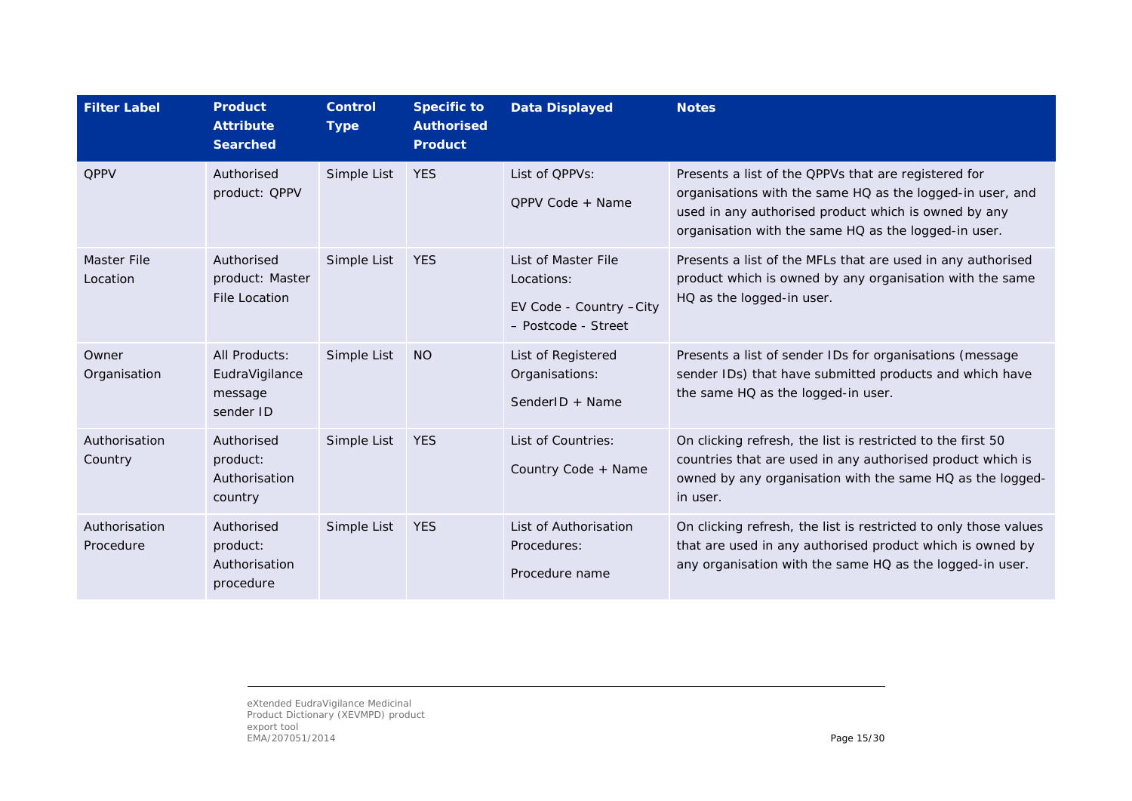| <b>Filter Label</b>        | <b>Product</b><br><b>Attribute</b><br><b>Searched</b>   | <b>Control</b><br><b>Type</b> | <b>Specific to</b><br><b>Authorised</b><br><b>Product</b> | <b>Data Displayed</b>                                                                | <b>Notes</b>                                                                                                                                                                                                                      |
|----------------------------|---------------------------------------------------------|-------------------------------|-----------------------------------------------------------|--------------------------------------------------------------------------------------|-----------------------------------------------------------------------------------------------------------------------------------------------------------------------------------------------------------------------------------|
| <b>QPPV</b>                | Authorised<br>product: QPPV                             | Simple List                   | <b>YES</b>                                                | List of QPPVs:<br>QPPV Code + Name                                                   | Presents a list of the QPPVs that are registered for<br>organisations with the same HQ as the logged-in user, and<br>used in any authorised product which is owned by any<br>organisation with the same HQ as the logged-in user. |
| Master File<br>Location    | Authorised<br>product: Master<br><b>File Location</b>   | Simple List                   | <b>YES</b>                                                | List of Master File<br>Locations:<br>EV Code - Country - City<br>- Postcode - Street | Presents a list of the MFLs that are used in any authorised<br>product which is owned by any organisation with the same<br>HQ as the logged-in user.                                                                              |
| Owner<br>Organisation      | All Products:<br>EudraVigilance<br>message<br>sender ID | Simple List                   | <b>NO</b>                                                 | List of Registered<br>Organisations:<br>SenderID + Name                              | Presents a list of sender IDs for organisations (message<br>sender IDs) that have submitted products and which have<br>the same HQ as the logged-in user.                                                                         |
| Authorisation<br>Country   | Authorised<br>product:<br>Authorisation<br>country      | Simple List                   | <b>YES</b>                                                | List of Countries:<br>Country Code + Name                                            | On clicking refresh, the list is restricted to the first 50<br>countries that are used in any authorised product which is<br>owned by any organisation with the same HQ as the logged-<br>in user.                                |
| Authorisation<br>Procedure | Authorised<br>product:<br>Authorisation<br>procedure    | Simple List                   | <b>YES</b>                                                | List of Authorisation<br>Procedures:<br>Procedure name                               | On clicking refresh, the list is restricted to only those values<br>that are used in any authorised product which is owned by<br>any organisation with the same HQ as the logged-in user.                                         |

eXtended EudraVigilance Medicinal Product Dictionary (XEVMPD) product export tool EMA/207051/2014 Page 15/30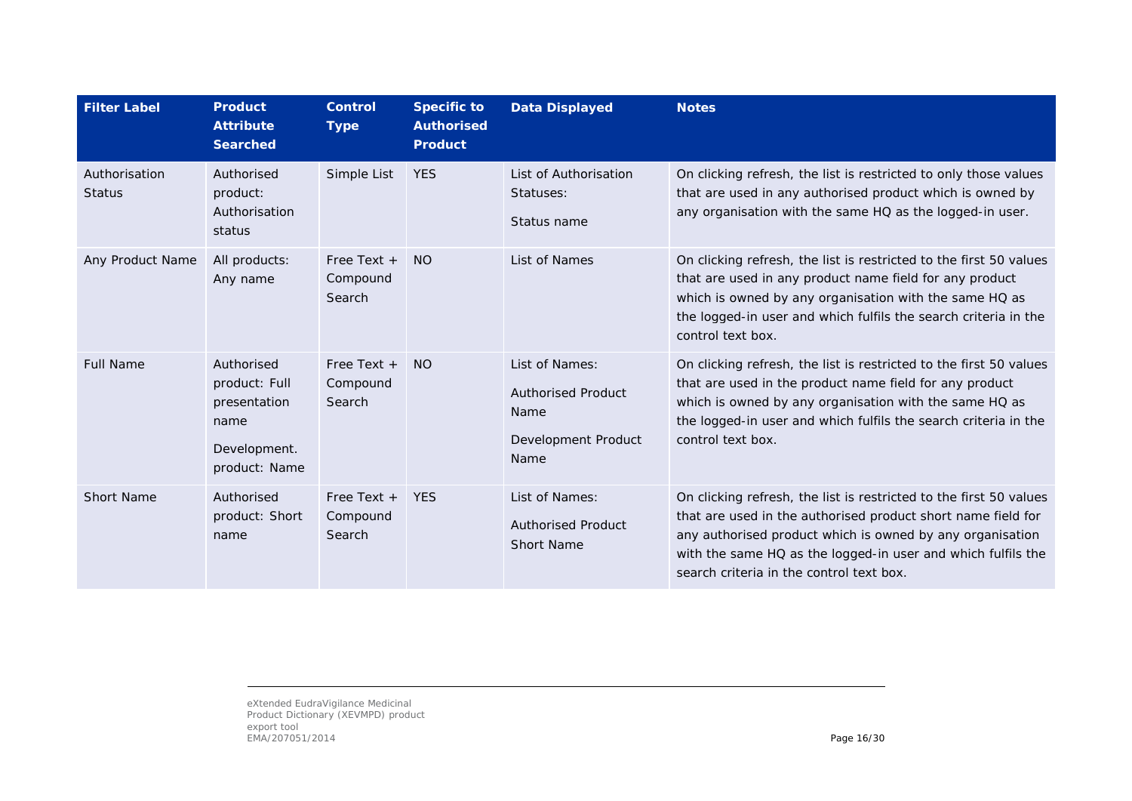| <b>Filter Label</b>            | <b>Product</b><br><b>Attribute</b><br><b>Searched</b>                                | <b>Control</b><br><b>Type</b>       | <b>Specific to</b><br><b>Authorised</b><br><b>Product</b> | <b>Data Displayed</b>                                                              | <b>Notes</b>                                                                                                                                                                                                                                                                                                |
|--------------------------------|--------------------------------------------------------------------------------------|-------------------------------------|-----------------------------------------------------------|------------------------------------------------------------------------------------|-------------------------------------------------------------------------------------------------------------------------------------------------------------------------------------------------------------------------------------------------------------------------------------------------------------|
| Authorisation<br><b>Status</b> | Authorised<br>product:<br>Authorisation<br>status                                    | Simple List                         | <b>YES</b>                                                | List of Authorisation<br>Statuses:<br>Status name                                  | On clicking refresh, the list is restricted to only those values<br>that are used in any authorised product which is owned by<br>any organisation with the same HQ as the logged-in user.                                                                                                                   |
| Any Product Name               | All products:<br>Any name                                                            | Free Text $+$<br>Compound<br>Search | <b>NO</b>                                                 | List of Names                                                                      | On clicking refresh, the list is restricted to the first 50 values<br>that are used in any product name field for any product<br>which is owned by any organisation with the same HQ as<br>the logged-in user and which fulfils the search criteria in the<br>control text box.                             |
| <b>Full Name</b>               | Authorised<br>product: Full<br>presentation<br>name<br>Development.<br>product: Name | Free Text $+$<br>Compound<br>Search | <b>NO</b>                                                 | List of Names:<br><b>Authorised Product</b><br>Name<br>Development Product<br>Name | On clicking refresh, the list is restricted to the first 50 values<br>that are used in the product name field for any product<br>which is owned by any organisation with the same HQ as<br>the logged-in user and which fulfils the search criteria in the<br>control text box.                             |
| <b>Short Name</b>              | Authorised<br>product: Short<br>name                                                 | Free Text +<br>Compound<br>Search   | <b>YFS</b>                                                | List of Names:<br><b>Authorised Product</b><br><b>Short Name</b>                   | On clicking refresh, the list is restricted to the first 50 values<br>that are used in the authorised product short name field for<br>any authorised product which is owned by any organisation<br>with the same HQ as the logged-in user and which fulfils the<br>search criteria in the control text box. |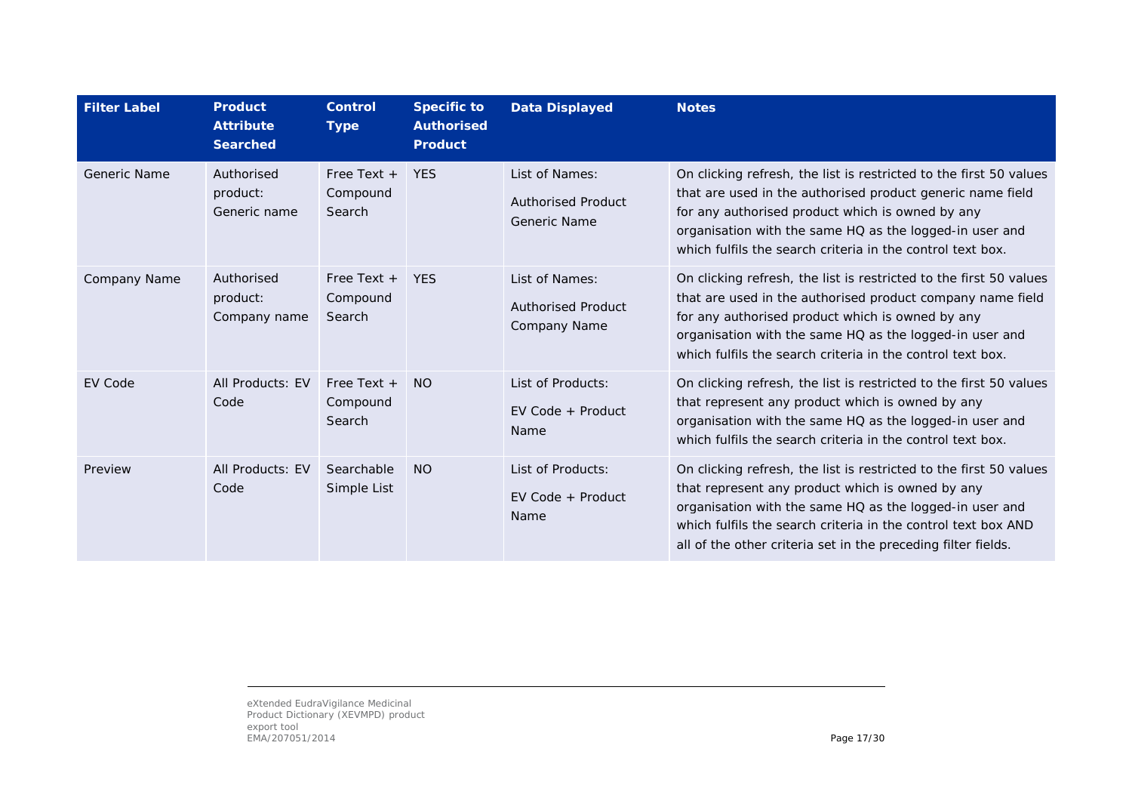| <b>Filter Label</b> | <b>Product</b><br><b>Attribute</b><br><b>Searched</b> | <b>Control</b><br><b>Type</b>       | <b>Specific to</b><br><b>Authorised</b><br><b>Product</b> | <b>Data Displayed</b>                                              | <b>Notes</b>                                                                                                                                                                                                                                                                                                        |
|---------------------|-------------------------------------------------------|-------------------------------------|-----------------------------------------------------------|--------------------------------------------------------------------|---------------------------------------------------------------------------------------------------------------------------------------------------------------------------------------------------------------------------------------------------------------------------------------------------------------------|
| Generic Name        | Authorised<br>product:<br>Generic name                | Free Text $+$<br>Compound<br>Search | <b>YES</b>                                                | List of Names:<br><b>Authorised Product</b><br>Generic Name        | On clicking refresh, the list is restricted to the first 50 values<br>that are used in the authorised product generic name field<br>for any authorised product which is owned by any<br>organisation with the same HQ as the logged-in user and<br>which fulfils the search criteria in the control text box.       |
| Company Name        | Authorised<br>product:<br>Company name                | Free Text $+$<br>Compound<br>Search | <b>YES</b>                                                | List of Names:<br><b>Authorised Product</b><br><b>Company Name</b> | On clicking refresh, the list is restricted to the first 50 values<br>that are used in the authorised product company name field<br>for any authorised product which is owned by any<br>organisation with the same HQ as the logged-in user and<br>which fulfils the search criteria in the control text box.       |
| <b>EV Code</b>      | All Products: EV<br>Code                              | Free Text $+$<br>Compound<br>Search | <b>NO</b>                                                 | List of Products:<br>$EV$ Code + Product<br>Name                   | On clicking refresh, the list is restricted to the first 50 values<br>that represent any product which is owned by any<br>organisation with the same HQ as the logged-in user and<br>which fulfils the search criteria in the control text box.                                                                     |
| Preview             | All Products: EV<br>Code                              | Searchable<br>Simple List           | <b>NO</b>                                                 | List of Products:<br>$EV$ Code + Product<br>Name                   | On clicking refresh, the list is restricted to the first 50 values<br>that represent any product which is owned by any<br>organisation with the same HQ as the logged-in user and<br>which fulfils the search criteria in the control text box AND<br>all of the other criteria set in the preceding filter fields. |

eXtended EudraVigilance Medicinal Product Dictionary (XEVMPD) product export tool EMA/207051/2014 Page 17/30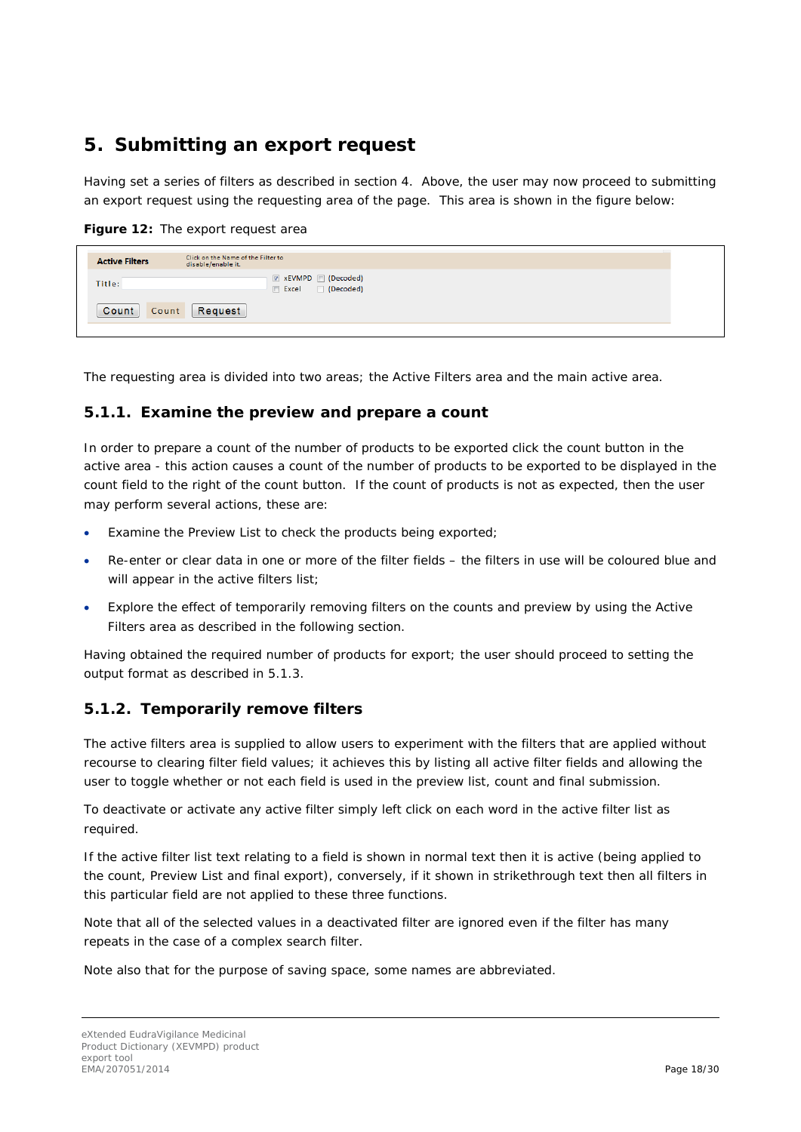### <span id="page-17-0"></span>**5. Submitting an export request**

Having set a series of filters as described in section [4.](#page-6-0) Above, the user may now proceed to submitting an export request using the requesting area of the page. This area is shown in the figure below:

**Figure 12:** The export request area

| <b>EXEVMPD</b> (Decoded)<br>Title:<br>Decoded)<br>$\Box$ Excel<br>Request<br>Count<br>Count | <b>Active Filters</b> | Click on the Name of the Filter to<br>disable/enable it. |
|---------------------------------------------------------------------------------------------|-----------------------|----------------------------------------------------------|
|                                                                                             |                       |                                                          |
|                                                                                             |                       |                                                          |

The requesting area is divided into two areas; the Active Filters area and the main active area.

#### <span id="page-17-1"></span>**5.1.1. Examine the preview and prepare a count**

In order to prepare a count of the number of products to be exported click the count button in the active area - this action causes a count of the number of products to be exported to be displayed in the count field to the right of the count button. If the count of products is not as expected, then the user may perform several actions, these are:

- Examine the Preview List to check the products being exported;
- Re-enter or clear data in one or more of the filter fields the filters in use will be coloured blue and will appear in the active filters list;
- Explore the effect of temporarily removing filters on the counts and preview by using the Active Filters area as described in the following section.

Having obtained the required number of products for export; the user should proceed to setting the output format as described in [5.1.3.](#page-18-0) 

### <span id="page-17-2"></span>**5.1.2. Temporarily remove filters**

The active filters area is supplied to allow users to experiment with the filters that are applied without recourse to clearing filter field values; it achieves this by listing all active filter fields and allowing the user to toggle whether or not each field is used in the preview list, count and final submission.

To deactivate or activate any active filter simply left click on each word in the active filter list as required.

If the active filter list text relating to a field is shown in normal text then it is active (being applied to the count, Preview List and final export), conversely, if it shown in strikethrough text then all filters in this particular field are not applied to these three functions.

Note that all of the selected values in a deactivated filter are ignored even if the filter has many repeats in the case of a complex search filter.

Note also that for the purpose of saving space, some names are abbreviated.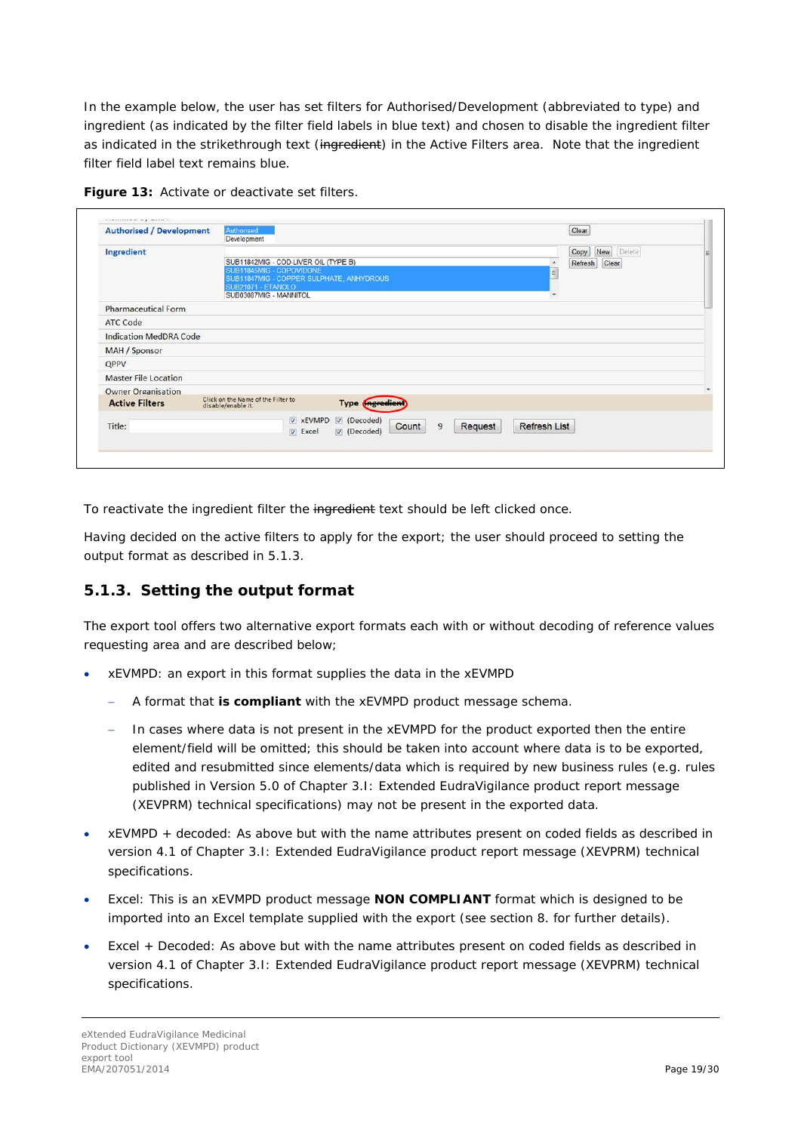In the example below, the user has set filters for Authorised/Development (abbreviated to type) and ingredient (as indicated by the filter field labels in blue text) and chosen to disable the ingredient filter as indicated in the strikethrough text (ingredient) in the Active Filters area. Note that the ingredient filter field label text remains blue.

| <b>Authorised / Development</b> | Authorised<br>Development                                            |                             |                           |                     | Clear              |  |
|---------------------------------|----------------------------------------------------------------------|-----------------------------|---------------------------|---------------------|--------------------|--|
| Ingredient                      |                                                                      |                             |                           |                     | New Delete<br>Copy |  |
|                                 | SUB11842MIG - COD-LIVER OIL (TYPE B)                                 |                             |                           | $\blacktriangle$    | Refresh<br>Clear   |  |
|                                 | SUB11845MIG - COPOVIDONE<br>SUB11847MIG - COPPER SULPHATE, ANHYDROUS |                             |                           | E                   |                    |  |
|                                 | SUB21071 - ETANOLO                                                   |                             |                           |                     |                    |  |
|                                 | SUB03087MIG - MANNITOL                                               |                             |                           | $\cdot$             |                    |  |
| <b>Pharmaceutical Form</b>      |                                                                      |                             |                           |                     |                    |  |
| <b>ATC Code</b>                 |                                                                      |                             |                           |                     |                    |  |
| <b>Indication MedDRA Code</b>   |                                                                      |                             |                           |                     |                    |  |
| <b>MAH</b> / Sponsor            |                                                                      |                             |                           |                     |                    |  |
| QPPV                            |                                                                      |                             |                           |                     |                    |  |
| <b>Master File Location</b>     |                                                                      |                             |                           |                     |                    |  |
| <b>Owner Organisation</b>       |                                                                      |                             |                           |                     |                    |  |
| <b>Active Filters</b>           | Click on the Name of the Filter to<br>disable/enable it.             | <b>Type (ingredient</b>     |                           |                     |                    |  |
| Title:                          |                                                                      | xEVMPD / (Decoded)<br>Count | $\overline{9}$<br>Request | <b>Refresh List</b> |                    |  |
|                                 | <b>V</b> Excel                                                       | $\nabla$ (Decoded)          |                           |                     |                    |  |

To reactivate the ingredient filter the ingredient text should be left clicked once.

Having decided on the active filters to apply for the export; the user should proceed to setting the output format as described in [5.1.3.](#page-18-0) 

#### <span id="page-18-0"></span>**5.1.3. Setting the output format**

The export tool offers two alternative export formats each with or without decoding of reference values requesting area and are described below;

- xEVMPD: an export in this format supplies the data in the xEVMPD
	- − A format that **is compliant** with the xEVMPD product message schema.
	- − In cases where data is not present in the xEVMPD for the product exported then the entire element/field will be omitted; this should be taken into account where data is to be exported, edited and resubmitted since elements/data which is required by new business rules (e.g. rules published in Version 5.0 of Chapter 3.I: Extended EudraVigilance product report message (XEVPRM) technical specifications) may not be present in the exported data.
- xEVMPD + decoded: As above but with the name attributes present on coded fields as described in version 4.1 of Chapter 3.I: Extended EudraVigilance product report message (XEVPRM) technical specifications.
- Excel: This is an xEVMPD product message **NON COMPLIANT** format which is designed to be imported into an Excel template supplied with the export (see section [8. f](#page-23-0)or further details).
- Excel + Decoded: As above but with the name attributes present on coded fields as described in version 4.1 of Chapter 3.I: Extended EudraVigilance product report message (XEVPRM) technical specifications.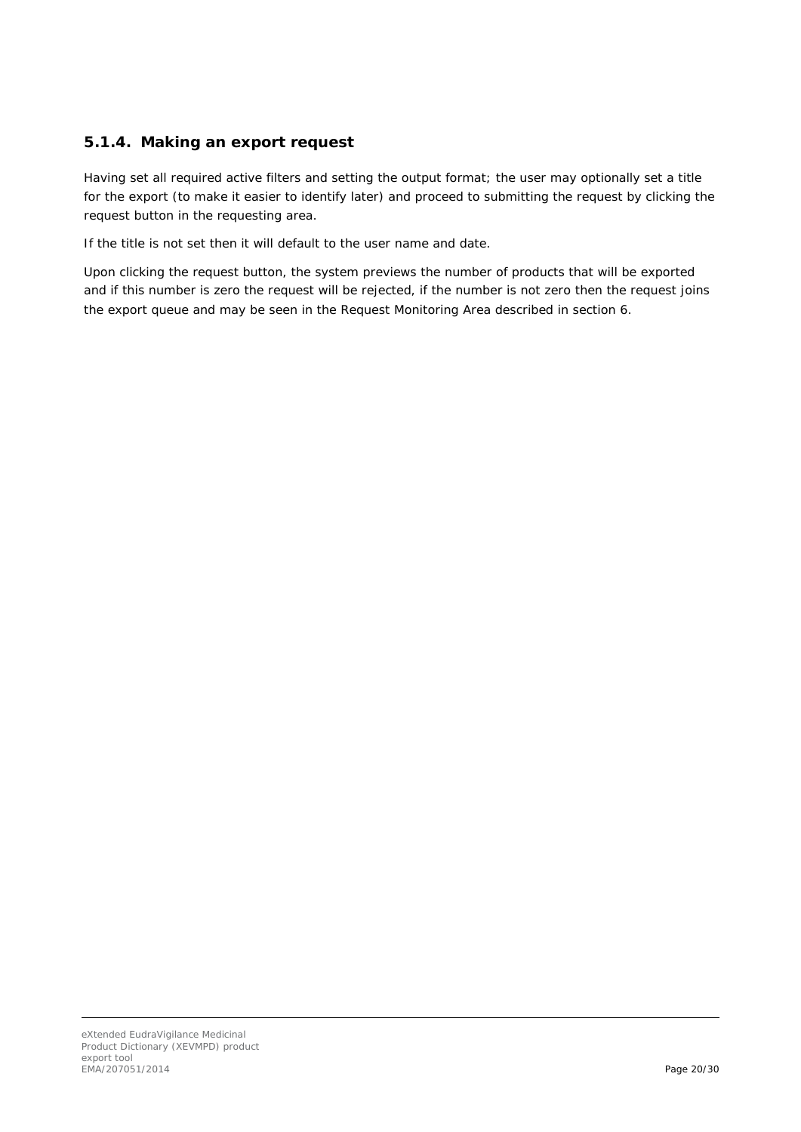### <span id="page-19-0"></span>**5.1.4. Making an export request**

Having set all required active filters and setting the output format; the user may optionally set a title for the export (to make it easier to identify later) and proceed to submitting the request by clicking the request button in the requesting area.

If the title is not set then it will default to the user name and date.

<span id="page-19-1"></span>Upon clicking the request button, the system previews the number of products that will be exported and if this number is zero the request will be rejected, if the number is not zero then the request joins the export queue and may be seen in the Request Monitoring Area described in section [6.](#page-19-1)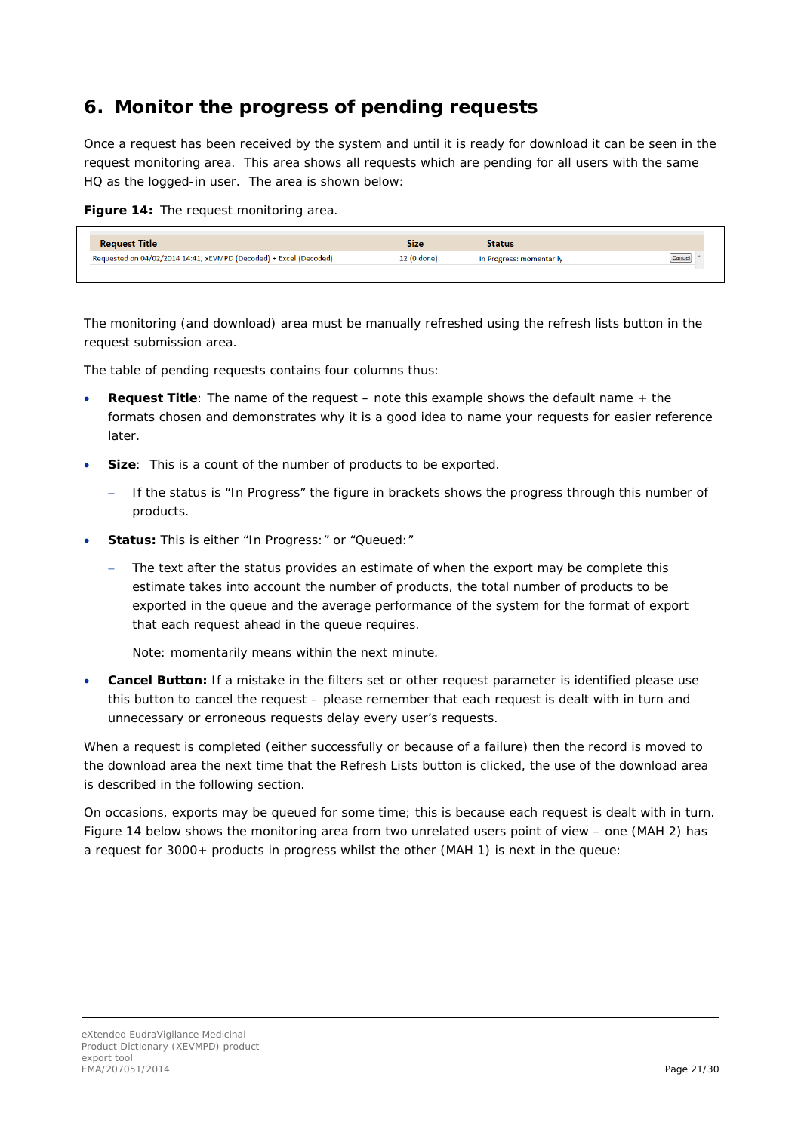### <span id="page-20-0"></span>**6. Monitor the progress of pending requests**

Once a request has been received by the system and until it is ready for download it can be seen in the request monitoring area. This area shows all requests which are pending for all users with the same HQ as the logged-in user. The area is shown below:

**Figure 14:** The request monitoring area.

| <b>Request Title</b>                                              | Size        | <b>Status</b>            |        |
|-------------------------------------------------------------------|-------------|--------------------------|--------|
| Requested on 04/02/2014 14:41, xEVMPD (Decoded) + Excel (Decoded) | 12 (0 done) | In Progress: momentarily | Cancel |
|                                                                   |             |                          |        |

The monitoring (and download) area must be manually refreshed using the refresh lists button in the request submission area.

The table of pending requests contains four columns thus:

- **Request Title**: The name of the request note this example shows the default name + the formats chosen and demonstrates why it is a good idea to name your requests for easier reference later.
- **Size:** This is a count of the number of products to be exported.
	- − If the status is "In Progress" the figure in brackets shows the progress through this number of products.
- **Status:** This is either "In Progress:" or "Queued:"
	- The text after the status provides an estimate of when the export may be complete this estimate takes into account the number of products, the total number of products to be exported in the queue and the average performance of the system for the format of export that each request ahead in the queue requires.

Note: momentarily means within the next minute.

• **Cancel Button:** If a mistake in the filters set or other request parameter is identified please use this button to cancel the request – please remember that each request is dealt with in turn and unnecessary or erroneous requests delay every user's requests.

When a request is completed (either successfully or because of a failure) then the record is moved to the download area the next time that the Refresh Lists button is clicked, the use of the download area is described in the following section.

On occasions, exports may be queued for some time; this is because each request is dealt with in turn. Figure 14 below shows the monitoring area from two unrelated users point of view – one (MAH 2) has a request for 3000+ products in progress whilst the other (MAH 1) is next in the queue: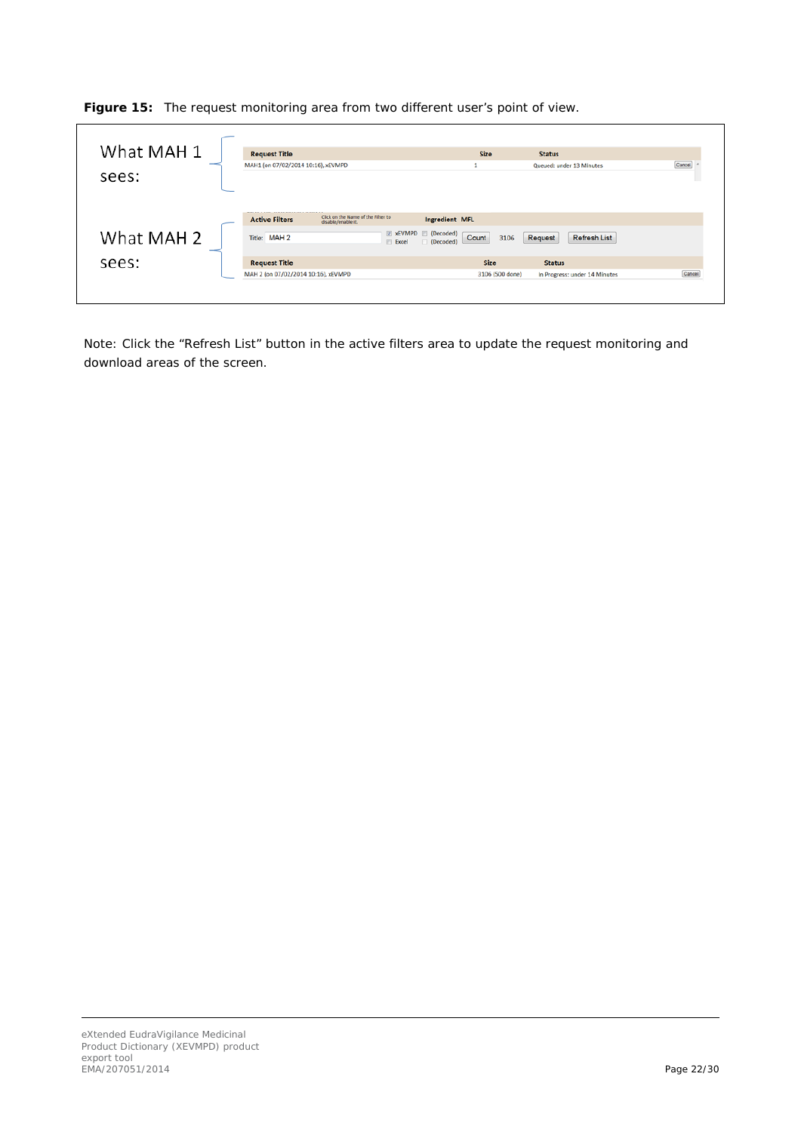**Figure 15:** The request monitoring area from two different user's point of view.

| What MAH 1 | <b>Request Title</b>                                                              | <b>Size</b>              | <b>Status</b>                 |        |
|------------|-----------------------------------------------------------------------------------|--------------------------|-------------------------------|--------|
|            | MAH1 (on 07/02/2014 10:16), xEVMPD                                                |                          | Queued: under 13 Minutes      | Cancel |
| sees:      |                                                                                   |                          |                               |        |
|            |                                                                                   |                          |                               |        |
|            |                                                                                   |                          |                               |        |
|            | Click on the Name of the Filter to<br><b>Active Filters</b><br>disable/enable it. | Ingredient MFL           |                               |        |
| What MAH 2 | <b>EXEVMPD</b> (Decoded)<br>Title: MAH 2                                          | Count<br>Request<br>3106 | <b>Refresh List</b>           |        |
|            | <b>Excel</b>                                                                      | (Decoded)                |                               |        |
| sees:      | <b>Request Title</b>                                                              | <b>Size</b>              | <b>Status</b>                 |        |
|            | MAH 2 (on 07/02/2014 10:16), xEVMPD                                               | 3106 (500 done)          | In Progress: under 14 Minutes | Cancel |

<span id="page-21-0"></span>Note: Click the "Refresh List" button in the active filters area to update the request monitoring and download areas of the screen.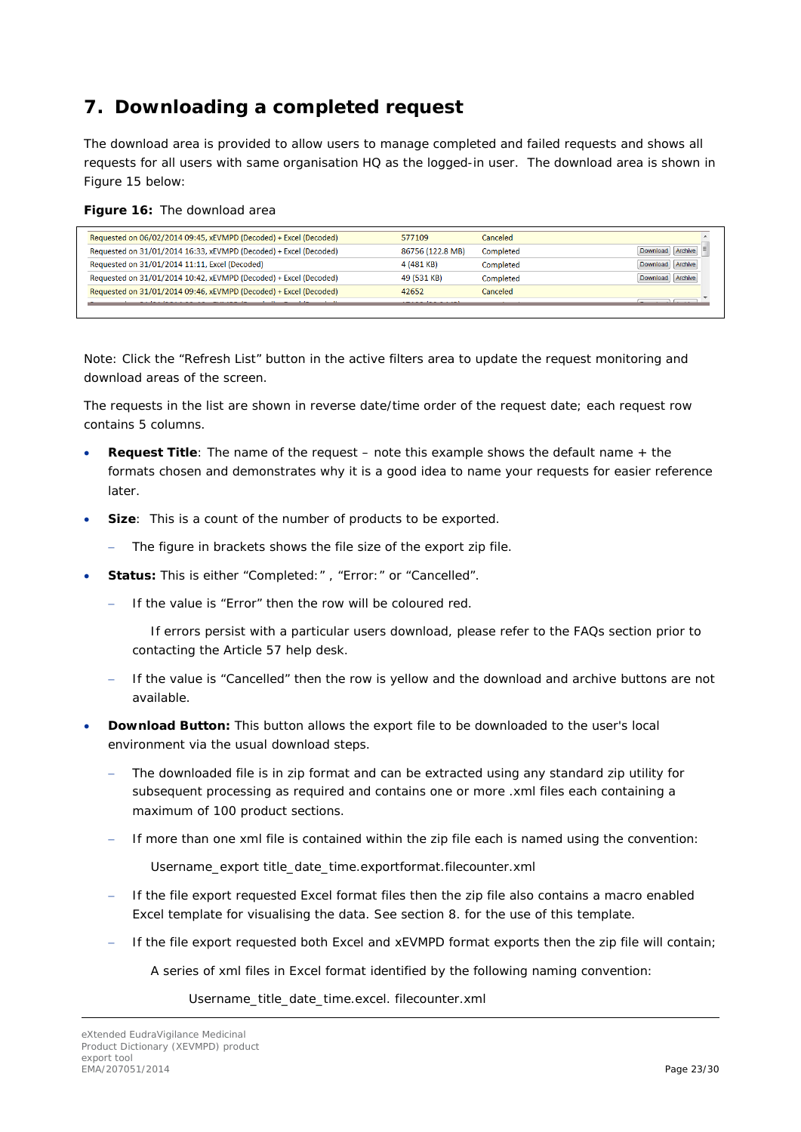## <span id="page-22-0"></span>**7. Downloading a completed request**

The download area is provided to allow users to manage completed and failed requests and shows all requests for all users with same organisation HQ as the logged-in user. The download area is shown in Figure 15 below:

|  |  |  |  | Figure 16: The download area |  |
|--|--|--|--|------------------------------|--|
|--|--|--|--|------------------------------|--|

| Requested on 06/02/2014 09:45, xEVMPD (Decoded) + Excel (Decoded) | 577109           | Canceled : |                  |
|-------------------------------------------------------------------|------------------|------------|------------------|
| Requested on 31/01/2014 16:33, xEVMPD (Decoded) + Excel (Decoded) | 86756 (122.8 MB) | Completed  | Download Archive |
| Requested on 31/01/2014 11:11, Excel (Decoded)                    | 4 (481 KB)       | Completed  | Download Archive |
| Requested on 31/01/2014 10:42, xEVMPD (Decoded) + Excel (Decoded) | 49 (531 KB)      | Completed  | Download Archive |
| Requested on 31/01/2014 09:46, xEVMPD (Decoded) + Excel (Decoded) | 42652            | Canceled:  |                  |
|                                                                   |                  |            |                  |

Note: Click the "Refresh List" button in the active filters area to update the request monitoring and download areas of the screen.

The requests in the list are shown in reverse date/time order of the request date; each request row contains 5 columns.

- **Request Title**: The name of the request note this example shows the default name + the formats chosen and demonstrates why it is a good idea to name your requests for easier reference later.
- **Size:** This is a count of the number of products to be exported.
	- The figure in brackets shows the file size of the export zip file.
- **Status:** This is either "Completed:" , "Error:" or "Cancelled".
	- − If the value is "Error" then the row will be coloured red.

If errors persist with a particular users download, please refer to the [FAQs](#page-26-2) section prior to contacting the Article 57 help desk.

- − If the value is "Cancelled" then the row is yellow and the download and archive buttons are not available.
- **Download Button:** This button allows the export file to be downloaded to the user's local environment via the usual download steps.
	- The downloaded file is in zip format and can be extracted using any standard zip utility for subsequent processing as required and contains one or more .xml files each containing a maximum of 100 product sections.
	- − If more than one xml file is contained within the zip file each is named using the convention:

Username\_export title\_date\_time.exportformat.filecounter.xml

- − If the file export requested Excel format files then the zip file also contains a macro enabled Excel template for visualising the data. See section [8. f](#page-23-0)or the use of this template.
- − If the file export requested both Excel and xEVMPD format exports then the zip file will contain;

A series of xml files in Excel format identified by the following naming convention:

Username\_title\_date\_time.excel. filecounter.xml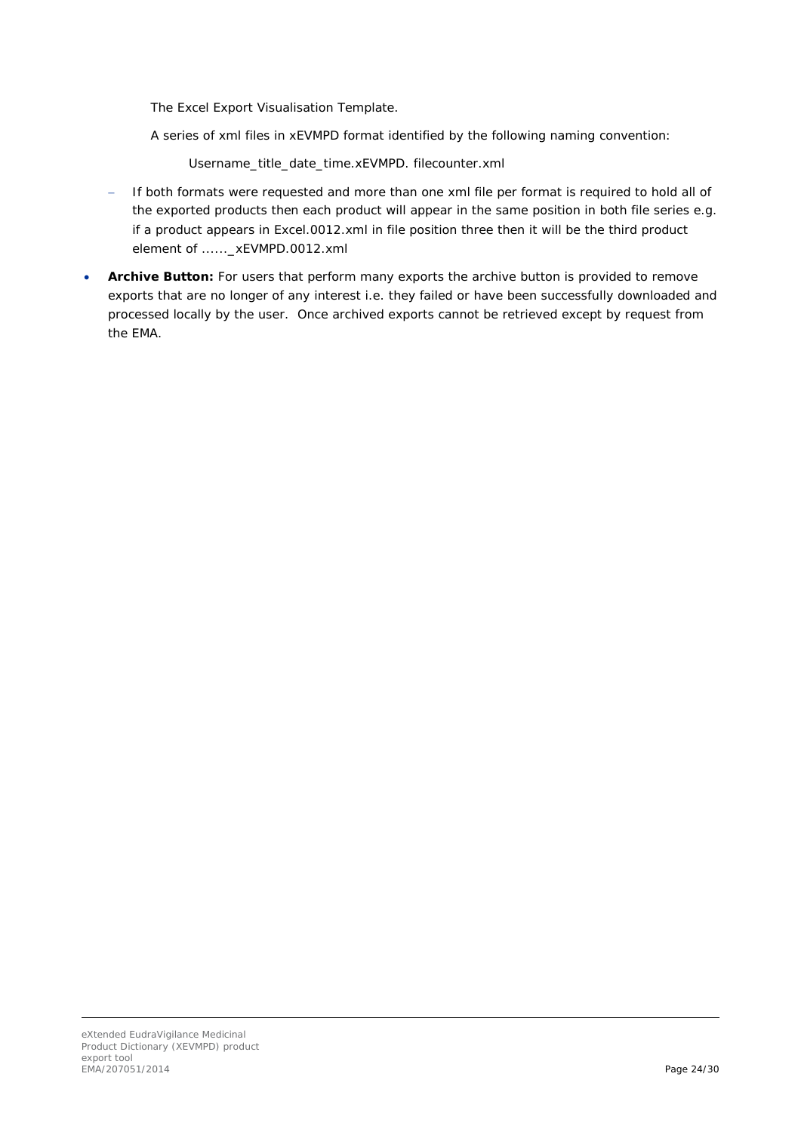The Excel Export Visualisation Template.

A series of xml files in xEVMPD format identified by the following naming convention:

Username\_title\_date\_time.xEVMPD. filecounter.xml

- If both formats were requested and more than one xml file per format is required to hold all of the exported products then each product will appear in the same position in both file series e.g. if a product appears in Excel.0012.xml in file position three then it will be the third product element of ......\_ xEVMPD.0012.xml
- <span id="page-23-0"></span>• **Archive Button:** For users that perform many exports the archive button is provided to remove exports that are no longer of any interest i.e. they failed or have been successfully downloaded and processed locally by the user. Once archived exports cannot be retrieved except by request from the EMA.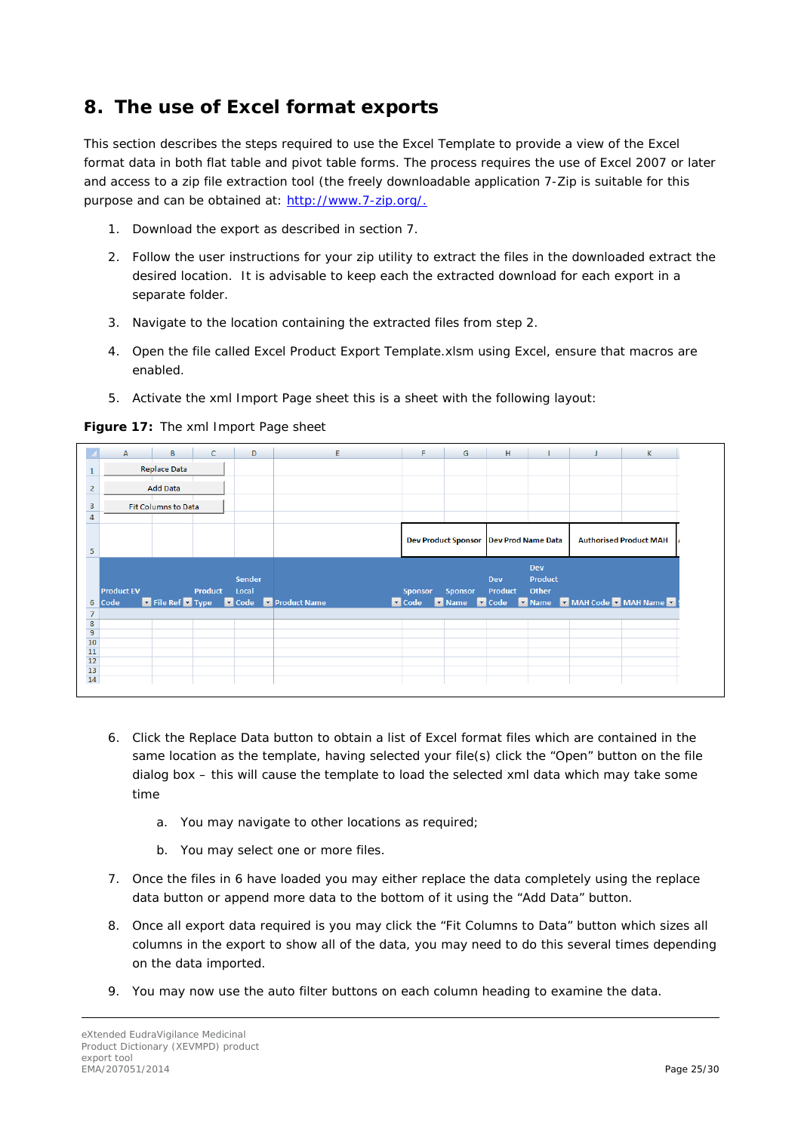## <span id="page-24-0"></span>**8. The use of Excel format exports**

This section describes the steps required to use the Excel Template to provide a view of the Excel format data in both flat table and pivot table forms. The process requires the use of Excel 2007 or later and access to a zip file extraction tool (the freely downloadable application 7-Zip is suitable for this purpose and can be obtained at: [http://www.7-zip.org/.](http://www.7-zip.org/)

- 1. Download the export as described in section [7.](#page-21-0)
- 2. Follow the user instructions for your zip utility to extract the files in the downloaded extract the desired location. It is advisable to keep each the extracted download for each export in a separate folder.
- 3. Navigate to the location containing the extracted files from step 2.
- 4. Open the file called Excel Product Export Template.xlsm using Excel, ensure that macros are enabled.
- 5. Activate the xml Import Page sheet this is a sheet with the following layout:

**Figure 17:** The xml Import Page sheet

|                                                                                      | А                 | В                          | C              | D             | E.                                    | F.                  | G                          | н                         |                | K.                                           |
|--------------------------------------------------------------------------------------|-------------------|----------------------------|----------------|---------------|---------------------------------------|---------------------|----------------------------|---------------------------|----------------|----------------------------------------------|
| 1                                                                                    |                   | <b>Replace Data</b>        |                |               |                                       |                     |                            |                           |                |                                              |
| $\overline{2}$                                                                       |                   | <b>Add Data</b>            |                |               |                                       |                     |                            |                           |                |                                              |
| 3                                                                                    |                   | <b>Fit Columns to Data</b> |                |               |                                       |                     |                            |                           |                |                                              |
| 4                                                                                    |                   |                            |                |               |                                       |                     |                            |                           |                |                                              |
|                                                                                      |                   |                            |                |               |                                       |                     | <b>Dev Product Sponsor</b> | <b>Dev Prod Name Data</b> |                | <b>Authorised Product MAH</b>                |
| 5                                                                                    |                   |                            |                |               |                                       |                     |                            |                           |                |                                              |
|                                                                                      |                   |                            |                |               |                                       |                     |                            |                           | <b>Dev</b>     |                                              |
|                                                                                      |                   |                            |                | <b>Sender</b> |                                       |                     |                            | <b>Dev</b>                | <b>Product</b> |                                              |
|                                                                                      | <b>Product EV</b> |                            | <b>Product</b> | Local         |                                       | <b>Sponsor</b>      | <b>Sponsor</b>             | <b>Product</b>            | Other          |                                              |
| 6<br>$\overline{7}$                                                                  | Code              |                            |                |               | File Ref • Type • Code • Product Name | $\blacksquare$ Code |                            |                           |                | V Name V Code V Name V MAH Code V MAH Name V |
|                                                                                      |                   |                            |                |               |                                       |                     |                            |                           |                |                                              |
|                                                                                      |                   |                            |                |               |                                       |                     |                            |                           |                |                                              |
|                                                                                      |                   |                            |                |               |                                       |                     |                            |                           |                |                                              |
|                                                                                      |                   |                            |                |               |                                       |                     |                            |                           |                |                                              |
| $\begin{array}{r} 8 \\ 9 \\ \hline 10 \\ 11 \\ 12 \\ 13 \\ 14 \\ \hline \end{array}$ |                   |                            |                |               |                                       |                     |                            |                           |                |                                              |

- 6. Click the Replace Data button to obtain a list of Excel format files which are contained in the same location as the template, having selected your file(s) click the "Open" button on the file dialog box – this will cause the template to load the selected xml data which may take some time
	- a. You may navigate to other locations as required;
	- b. You may select one or more files.
- 7. Once the files in 6 have loaded you may either replace the data completely using the replace data button or append more data to the bottom of it using the "Add Data" button.
- 8. Once all export data required is you may click the "Fit Columns to Data" button which sizes all columns in the export to show all of the data, you may need to do this several times depending on the data imported.
- 9. You may now use the auto filter buttons on each column heading to examine the data.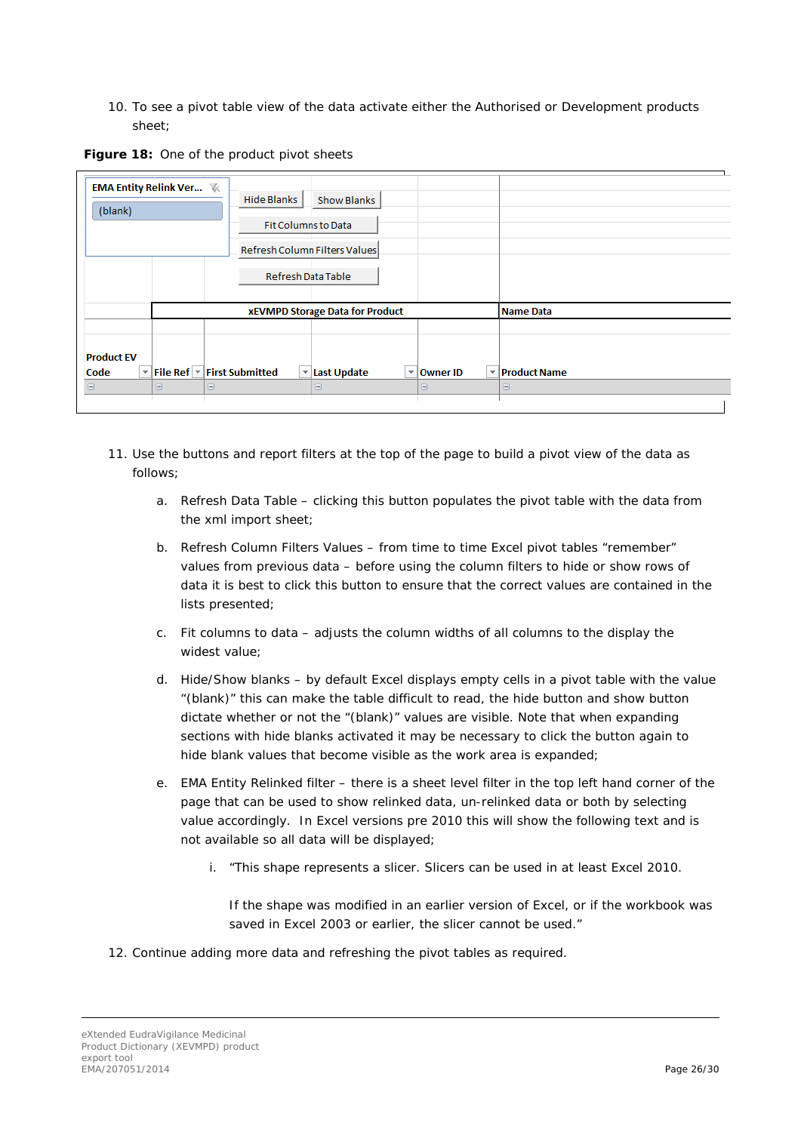10. To see a pivot table view of the data activate either the Authorised or Development products sheet;



| <b>EMA Entity Relink Ver 下</b><br>(blank) |                                        | <b>Hide Blanks</b>                                                           | <b>Show Blanks</b><br><b>Fit Columns to Data</b><br>Refresh Column Filters Values<br>Refresh Data Table |                          |                     |  |
|-------------------------------------------|----------------------------------------|------------------------------------------------------------------------------|---------------------------------------------------------------------------------------------------------|--------------------------|---------------------|--|
|                                           | <b>xEVMPD Storage Data for Product</b> |                                                                              |                                                                                                         |                          | Name Data           |  |
| <b>Product EV</b><br>×.<br>Code           |                                        | File Ref $\vert \mathbf{v} \vert$ First Submitted<br>$\overline{\mathbf{v}}$ | Last Update<br>÷                                                                                        | $\mathbf{v}$<br>Owner ID | <b>Product Name</b> |  |
| Θ                                         | Θ                                      | Θ                                                                            | Θ                                                                                                       | Θ                        | Θ                   |  |
|                                           |                                        |                                                                              |                                                                                                         |                          |                     |  |

- 11. Use the buttons and report filters at the top of the page to build a pivot view of the data as follows;
	- a. Refresh Data Table clicking this button populates the pivot table with the data from the xml import sheet;
	- b. Refresh Column Filters Values from time to time Excel pivot tables "remember" values from previous data – before using the column filters to hide or show rows of data it is best to click this button to ensure that the correct values are contained in the lists presented;
	- c. Fit columns to data adjusts the column widths of all columns to the display the widest value;
	- d. Hide/Show blanks by default Excel displays empty cells in a pivot table with the value "(blank)" this can make the table difficult to read, the hide button and show button dictate whether or not the "(blank)" values are visible. Note that when expanding sections with hide blanks activated it may be necessary to click the button again to hide blank values that become visible as the work area is expanded;
	- e. EMA Entity Relinked filter there is a sheet level filter in the top left hand corner of the page that can be used to show relinked data, un-relinked data or both by selecting value accordingly. In Excel versions pre 2010 this will show the following text and is not available so all data will be displayed;
		- i. "This shape represents a slicer. Slicers can be used in at least Excel 2010.

If the shape was modified in an earlier version of Excel, or if the workbook was saved in Excel 2003 or earlier, the slicer cannot be used."

12. Continue adding more data and refreshing the pivot tables as required.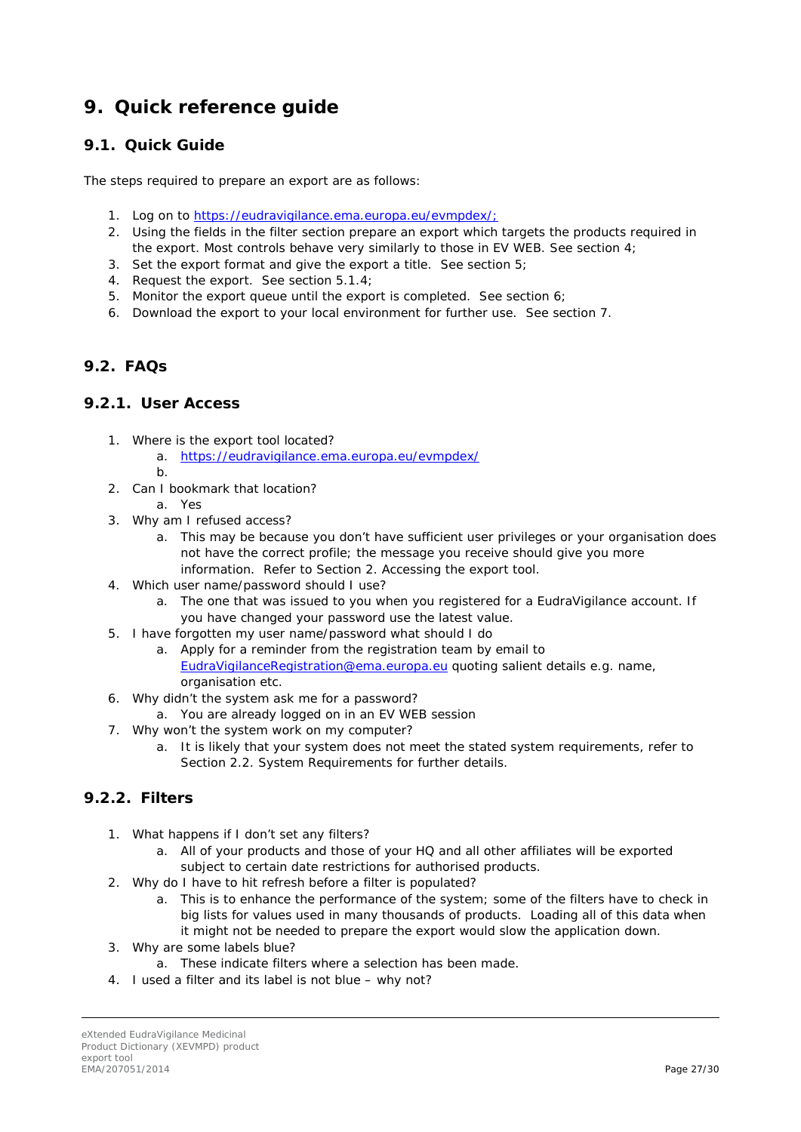## <span id="page-26-0"></span>**9. Quick reference guide**

### <span id="page-26-1"></span>*9.1. Quick Guide*

The steps required to prepare an export are as follows:

- 1. Log on to [https://eudravigilance.ema.europa.eu/evmpdex/;](https://eudravigilance.ema.europa.eu/evmpdex/)
- 2. Using the fields in the filter section prepare an export which targets the products required in the export. Most controls behave very similarly to those in EV WEB. See section [4;](#page-6-0)
- 3. Set the export format and give the export a title. See section [5;](#page-17-0)
- 4. Request the export. See section [5.1.4;](#page-19-0)
- 5. Monitor the export queue until the export is completed. See section [6;](#page-19-1)
- 6. Download the export to your local environment for further use. See section [7.](#page-21-0)

### <span id="page-26-2"></span>*9.2. FAQs*

#### <span id="page-26-3"></span>**9.2.1. User Access**

- 1. Where is the export tool located?
	- a. <https://eudravigilance.ema.europa.eu/evmpdex/> b.
- 2. Can I bookmark that location?
	- a. Yes
- 3. Why am I refused access?
	- a. This may be because you don't have sufficient user privileges or your organisation does not have the correct profile; the message you receive should give you more information. Refer to Section [2. Accessing the export tool.](#page-2-1)
- 4. Which user name/password should I use?
	- a. The one that was issued to you when you registered for a EudraVigilance account. If you have changed your password use the latest value.
- 5. I have forgotten my user name/password what should I do
	- a. Apply for a reminder from the registration team by email to [EudraVigilanceRegistration@ema.europa.eu](mailto:EudraVigilanceRegistration@ema.europa.eu) quoting salient details e.g. name, organisation etc.
- 6. Why didn't the system ask me for a password?
	- a. You are already logged on in an EV WEB session
- 7. Why won't the system work on my computer?
	- a. It is likely that your system does not meet the stated system requirements, refer to Section [2.2. System Requirements](#page-3-2) for further details.

### <span id="page-26-4"></span>**9.2.2. Filters**

- 1. What happens if I don't set any filters?
	- a. All of your products and those of your HQ and all other affiliates will be exported subject to certain date restrictions for authorised products.
- 2. Why do I have to hit refresh before a filter is populated?
	- a. This is to enhance the performance of the system; some of the filters have to check in big lists for values used in many thousands of products. Loading all of this data when it might not be needed to prepare the export would slow the application down.
- 3. Why are some labels blue?
	- a. These indicate filters where a selection has been made.
- 4. I used a filter and its label is not blue why not?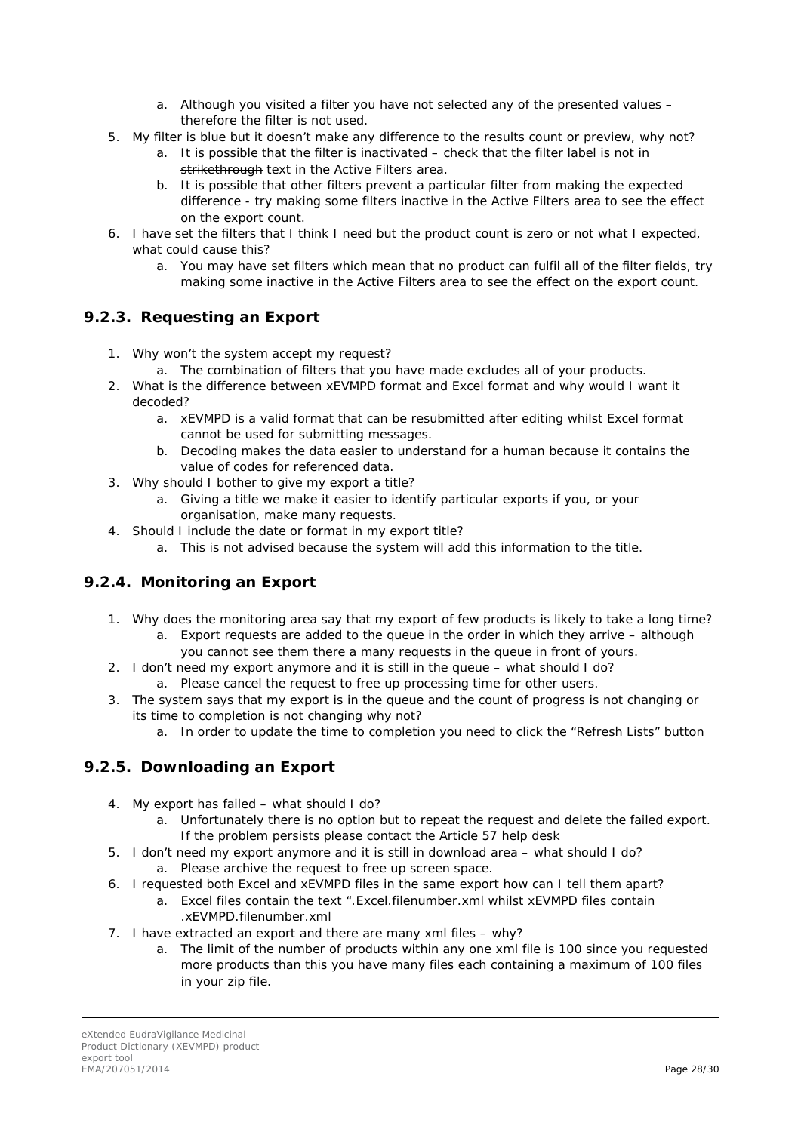- a. Although you visited a filter you have not selected any of the presented values therefore the filter is not used.
- 5. My filter is blue but it doesn't make any difference to the results count or preview, why not?
	- a. It is possible that the filter is inactivated check that the filter label is not in strikethrough text in the Active Filters area.
	- b. It is possible that other filters prevent a particular filter from making the expected difference - try making some filters inactive in the Active Filters area to see the effect on the export count.
- 6. I have set the filters that I think I need but the product count is zero or not what I expected, what could cause this?
	- a. You may have set filters which mean that no product can fulfil all of the filter fields, try making some inactive in the Active Filters area to see the effect on the export count.

### <span id="page-27-0"></span>**9.2.3. Requesting an Export**

- 1. Why won't the system accept my request?
	- a. The combination of filters that you have made excludes all of your products.
- 2. What is the difference between xEVMPD format and Excel format and why would I want it decoded?
	- a. xEVMPD is a valid format that can be resubmitted after editing whilst Excel format cannot be used for submitting messages.
	- b. Decoding makes the data easier to understand for a human because it contains the value of codes for referenced data.
- 3. Why should I bother to give my export a title?
	- a. Giving a title we make it easier to identify particular exports if you, or your organisation, make many requests.
- 4. Should I include the date or format in my export title?
	- a. This is not advised because the system will add this information to the title.

### <span id="page-27-1"></span>**9.2.4. Monitoring an Export**

- 1. Why does the monitoring area say that my export of few products is likely to take a long time?
	- a. Export requests are added to the queue in the order in which they arrive although you cannot see them there a many requests in the queue in front of yours.
- 2. I don't need my export anymore and it is still in the queue what should I do? a. Please cancel the request to free up processing time for other users.
- 3. The system says that my export is in the queue and the count of progress is not changing or its time to completion is not changing why not?
	- a. In order to update the time to completion you need to click the "Refresh Lists" button

### <span id="page-27-2"></span>**9.2.5. Downloading an Export**

- 4. My export has failed what should I do?
	- a. Unfortunately there is no option but to repeat the request and delete the failed export. If the problem persists please contact the Article 57 help desk
- 5. I don't need my export anymore and it is still in download area what should I do? a. Please archive the request to free up screen space.
- 6. I requested both Excel and xEVMPD files in the same export how can I tell them apart?
	- a. Excel files contain the text ".Excel.filenumber.xml whilst xEVMPD files contain .xEVMPD.filenumber.xml
- 7. I have extracted an export and there are many xml files why?
	- a. The limit of the number of products within any one xml file is 100 since you requested more products than this you have many files each containing a maximum of 100 files in your zip file.